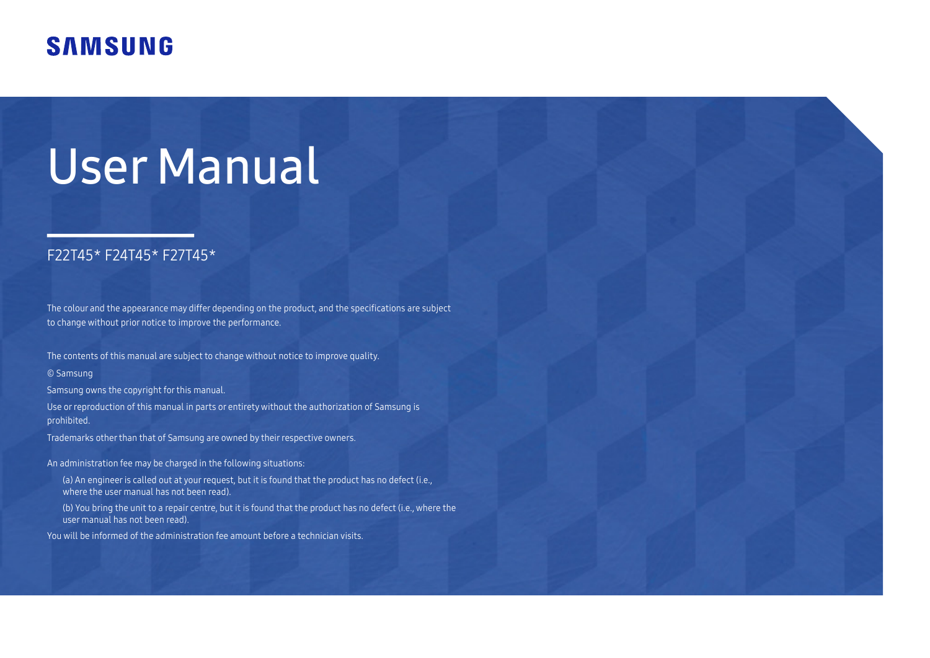# **SAMSUNG**

# User Manual

### F22T45\* F24T45\* F27T45\*

The colour and the appearance may differ depending on the product, and the specifications are subject to change without prior notice to improve the performance.

The contents of this manual are subject to change without notice to improve quality.

© Samsung

Samsung owns the copyright for this manual.

Use or reproduction of this manual in parts or entirety without the authorization of Samsung is prohibited.

Trademarks other than that of Samsung are owned by their respective owners.

An administration fee may be charged in the following situations:

- (a) An engineer is called out at your request, but it is found that the product has no defect (i.e., where the user manual has not been read).
- (b) You bring the unit to a repair centre, but it is found that the product has no defect (i.e., where the user manual has not been read).

You will be informed of the administration fee amount before a technician visits.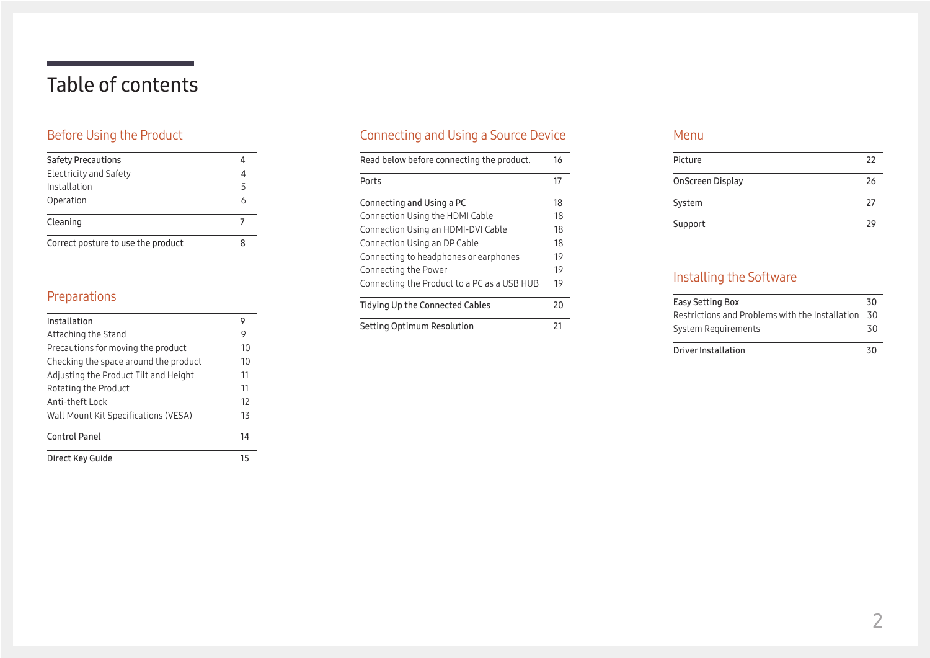# Table of contents

### [Before Using the Product](#page-3-0)

| <b>Safety Precautions</b>          |   |
|------------------------------------|---|
| Electricity and Safety             |   |
| Installation                       | 5 |
| Operation                          |   |
| Cleaning                           |   |
| Correct posture to use the product |   |

### [Preparations](#page-8-0)

| Installation<br>Attaching the Stand<br>Precautions for moving the product<br>Checking the space around the product<br>Adjusting the Product Tilt and Height<br>Rotating the Product | 9  |
|-------------------------------------------------------------------------------------------------------------------------------------------------------------------------------------|----|
|                                                                                                                                                                                     |    |
|                                                                                                                                                                                     | 9  |
|                                                                                                                                                                                     | 10 |
|                                                                                                                                                                                     | 10 |
|                                                                                                                                                                                     | 11 |
|                                                                                                                                                                                     | 11 |
| Anti-theft Lock                                                                                                                                                                     | 12 |
| Wall Mount Kit Specifications (VESA)                                                                                                                                                | 13 |
| Control Panel                                                                                                                                                                       | 14 |
| Direct Key Guide                                                                                                                                                                    | 15 |

### [Connecting and Using a Source Device](#page-15-0)

| Read below before connecting the product.   | 16 |
|---------------------------------------------|----|
| Ports                                       | 17 |
| Connecting and Using a PC                   | 18 |
| Connection Using the HDMI Cable             | 18 |
| Connection Using an HDMI-DVI Cable          | 18 |
| Connection Using an DP Cable                | 18 |
| Connecting to headphones or earphones       | 19 |
| Connecting the Power                        | 19 |
| Connecting the Product to a PC as a USB HUB | 19 |
| Tidying Up the Connected Cables             | 20 |
| Setting Optimum Resolution                  | 21 |

#### [Menu](#page-21-0)

| Picture          | 22 |
|------------------|----|
| OnScreen Display | 26 |
| System           | 27 |
| Support          | つく |

### [Installing the Software](#page-29-0)

| Easy Setting Box                                | 30 |
|-------------------------------------------------|----|
| Restrictions and Problems with the Installation | 30 |
| System Requirements                             | 30 |
| Driver Installation                             | 30 |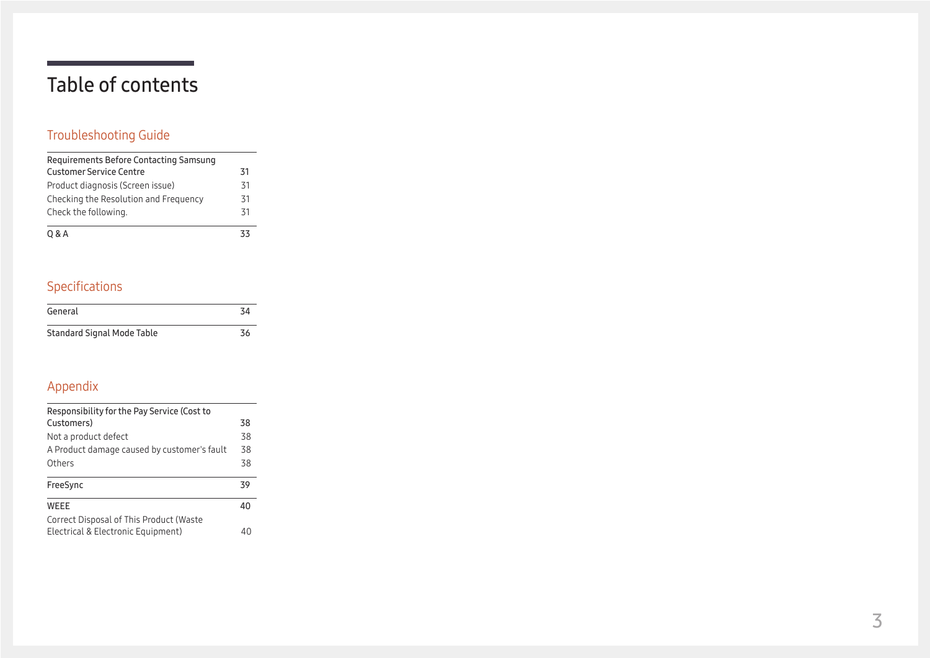# Table of contents

### [Troubleshooting Guide](#page-30-0)

| Requirements Before Contacting Samsung |    |
|----------------------------------------|----|
| <b>Customer Service Centre</b>         | 31 |
| Product diagnosis (Screen issue)       | 31 |
| Checking the Resolution and Frequency  | 31 |
| Check the following.                   | 31 |
| 0 & A                                  | 33 |

### [Specifications](#page-33-0)

| General                           | 34 |
|-----------------------------------|----|
| <b>Standard Signal Mode Table</b> | 36 |

### [Appendix](#page-37-0)

| Responsibility for the Pay Service (Cost to |    |
|---------------------------------------------|----|
| Customers)                                  | 38 |
| Not a product defect                        | 38 |
| A Product damage caused by customer's fault | 38 |
| Others                                      | 38 |
| FreeSync                                    | 39 |
| WEEE                                        | 40 |
| Correct Disposal of This Product (Waste     |    |
| Electrical & Electronic Equipment)          | 4( |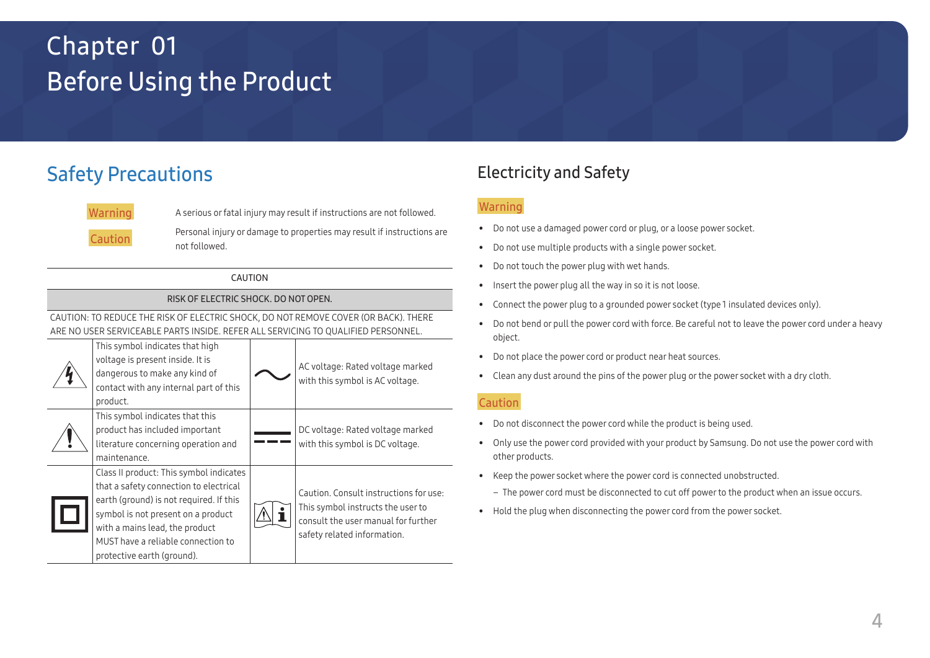# <span id="page-3-0"></span>Before Using the Product Chapter 01

# Safety Precautions



Warning A serious or fatal injury may result if instructions are not followed.

Caution Personal injury or damage to properties may result if instructions are not followed.

#### CAUTION

#### RISK OF ELECTRIC SHOCK. DO NOT OPEN.

CAUTION: TO REDUCE THE RISK OF ELECTRIC SHOCK, DO NOT REMOVE COVER (OR BACK). THERE ARE NO USER SERVICEABLE PARTS INSIDE. REFER ALL SERVICING TO QUALIFIED PERSONNEL.

| This symbol indicates that high<br>voltage is present inside. It is<br>dangerous to make any kind of<br>contact with any internal part of this<br>product.                                                                                                               | AC voltage: Rated voltage marked<br>with this symbol is AC voltage.                                                                               |
|--------------------------------------------------------------------------------------------------------------------------------------------------------------------------------------------------------------------------------------------------------------------------|---------------------------------------------------------------------------------------------------------------------------------------------------|
| This symbol indicates that this<br>product has included important<br>literature concerning operation and<br>maintenance.                                                                                                                                                 | DC voltage: Rated voltage marked<br>with this symbol is DC voltage.                                                                               |
| Class II product: This symbol indicates<br>that a safety connection to electrical<br>earth (ground) is not required. If this<br>symbol is not present on a product<br>with a mains lead, the product<br>MUST have a reliable connection to<br>protective earth (ground). | Caution. Consult instructions for use:<br>This symbol instructs the user to<br>consult the user manual for further<br>safety related information. |

### Electricity and Safety

### Warning

- Do not use a damaged power cord or plug, or a loose power socket.
- Do not use multiple products with a single power socket.
- Do not touch the power plug with wet hands.
- Insert the power plug all the way in so it is not loose.
- Connect the power plug to a grounded power socket (type 1 insulated devices only).
- Do not bend or pull the power cord with force. Be careful not to leave the power cord under a heavy object.
- Do not place the power cord or product near heat sources.
- Clean any dust around the pins of the power plug or the power socket with a dry cloth.

#### Caution

- Do not disconnect the power cord while the product is being used.
- Only use the power cord provided with your product by Samsung. Do not use the power cord with other products.
- Keep the power socket where the power cord is connected unobstructed.
	- ‒ The power cord must be disconnected to cut off power to the product when an issue occurs.
- Hold the plug when disconnecting the power cord from the power socket.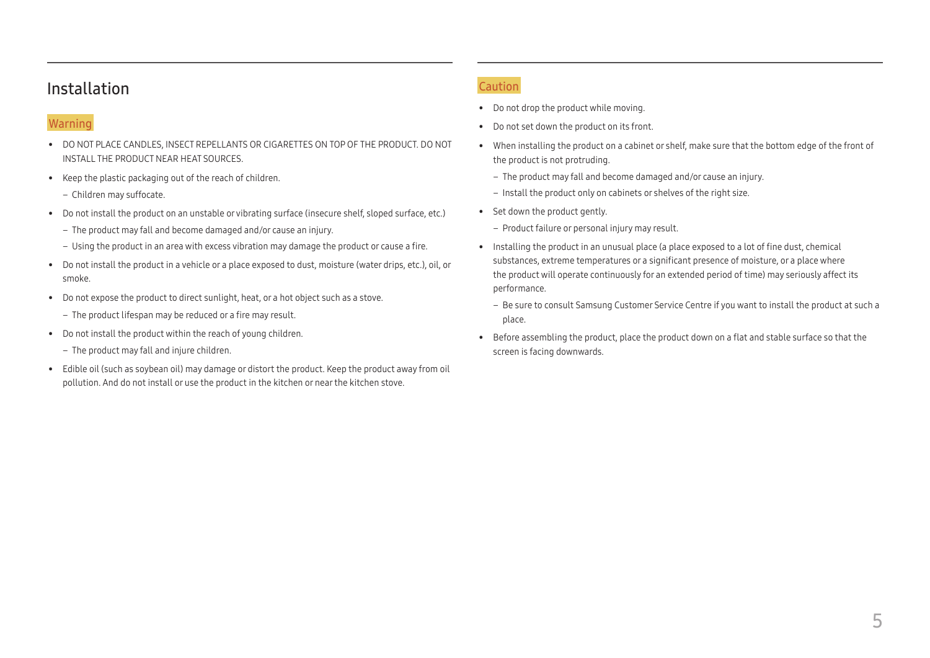### <span id="page-4-0"></span>Installation

#### Warning

- DO NOT PLACE CANDLES, INSECT REPELLANTS OR CIGARETTES ON TOP OF THE PRODUCT. DO NOT INSTALL THE PRODUCT NEAR HEAT SOURCES.
- Keep the plastic packaging out of the reach of children.
	- Children may suffocate.
- Do not install the product on an unstable or vibrating surface (insecure shelf, sloped surface, etc.)
	- ‒ The product may fall and become damaged and/or cause an injury.
	- ‒ Using the product in an area with excess vibration may damage the product or cause a fire.
- Do not install the product in a vehicle or a place exposed to dust, moisture (water drips, etc.), oil, or smoke.
- Do not expose the product to direct sunlight, heat, or a hot object such as a stove.
	- The product lifespan may be reduced or a fire may result.
- Do not install the product within the reach of young children.
	- ‒ The product may fall and injure children.
- Edible oil (such as soybean oil) may damage or distort the product. Keep the product away from oil pollution. And do not install or use the product in the kitchen or near the kitchen stove.

#### Caution

- Do not drop the product while moving.
- Do not set down the product on its front.
- When installing the product on a cabinet or shelf, make sure that the bottom edge of the front of the product is not protruding.
	- ‒ The product may fall and become damaged and/or cause an injury.
	- Install the product only on cabinets or shelves of the right size.
- Set down the product gently.
	- Product failure or personal injury may result.
- Installing the product in an unusual place (a place exposed to a lot of fine dust, chemical substances, extreme temperatures or a significant presence of moisture, or a place where the product will operate continuously for an extended period of time) may seriously affect its performance.
	- Be sure to consult Samsung Customer Service Centre if you want to install the product at such a place.
- Before assembling the product, place the product down on a flat and stable surface so that the screen is facing downwards.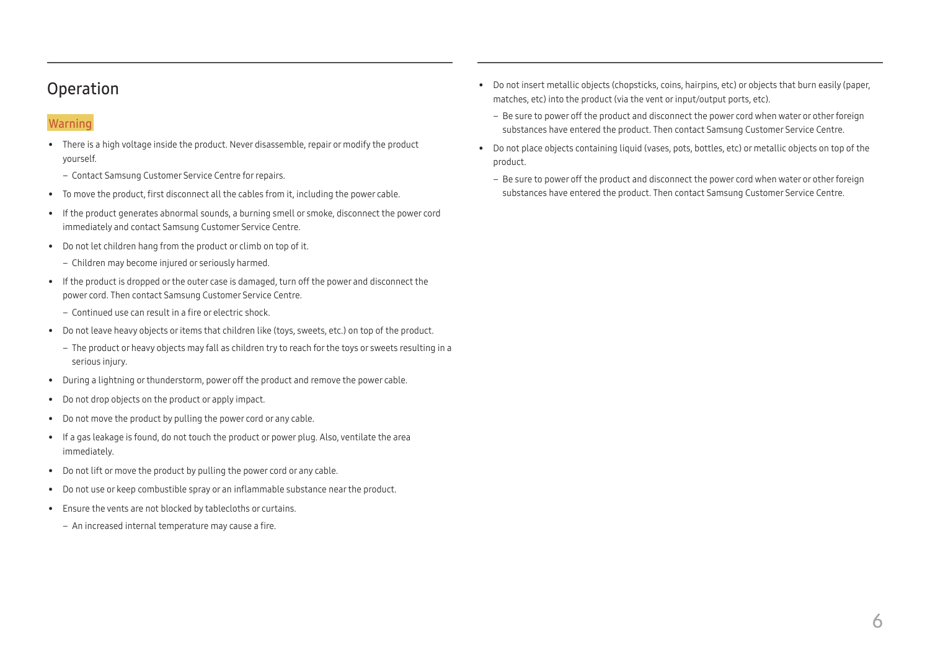### <span id="page-5-0"></span>Operation

### Warning

- There is a high voltage inside the product. Never disassemble, repair or modify the product yourself.
	- ‒ Contact Samsung Customer Service Centre for repairs.
- To move the product, first disconnect all the cables from it, including the power cable.
- If the product generates abnormal sounds, a burning smell or smoke, disconnect the power cord immediately and contact Samsung Customer Service Centre.
- Do not let children hang from the product or climb on top of it.
	- ‒ Children may become injured or seriously harmed.
- If the product is dropped or the outer case is damaged, turn off the power and disconnect the power cord. Then contact Samsung Customer Service Centre.
	- ‒ Continued use can result in a fire or electric shock.
- Do not leave heavy objects or items that children like (toys, sweets, etc.) on top of the product.
	- ‒ The product or heavy objects may fall as children try to reach for the toys or sweets resulting in a serious injury.
- During a lightning or thunderstorm, power off the product and remove the power cable.
- Do not drop objects on the product or apply impact.
- Do not move the product by pulling the power cord or any cable.
- If a gas leakage is found, do not touch the product or power plug. Also, ventilate the area immediately.
- Do not lift or move the product by pulling the power cord or any cable.
- Do not use or keep combustible spray or an inflammable substance near the product.
- Ensure the vents are not blocked by tablecloths or curtains.
	- An increased internal temperature may cause a fire.
- Do not insert metallic objects (chopsticks, coins, hairpins, etc) or objects that burn easily (paper, matches, etc) into the product (via the vent or input/output ports, etc).
	- Be sure to power off the product and disconnect the power cord when water or other foreign substances have entered the product. Then contact Samsung Customer Service Centre.
- Do not place objects containing liquid (vases, pots, bottles, etc) or metallic objects on top of the product.
	- ‒ Be sure to power off the product and disconnect the power cord when water or other foreign substances have entered the product. Then contact Samsung Customer Service Centre.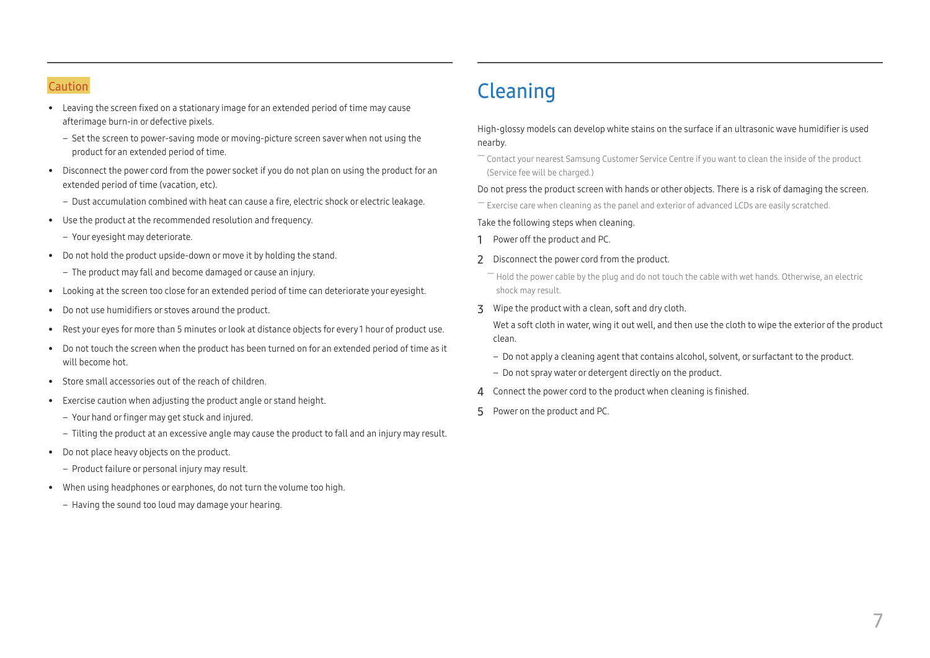#### <span id="page-6-0"></span>Caution

- Leaving the screen fixed on a stationary image for an extended period of time may cause afterimage burn-in or defective pixels.
	- ‒ Set the screen to power-saving mode or moving-picture screen saver when not using the product for an extended period of time.
- Disconnect the power cord from the power socket if you do not plan on using the product for an extended period of time (vacation, etc).
	- ‒ Dust accumulation combined with heat can cause a fire, electric shock or electric leakage.
- Use the product at the recommended resolution and frequency.
	- Your eyesight may deteriorate.
- Do not hold the product upside-down or move it by holding the stand.
	- ‒ The product may fall and become damaged or cause an injury.
- Looking at the screen too close for an extended period of time can deteriorate your eyesight.
- Do not use humidifiers or stoves around the product.
- Rest your eyes for more than 5 minutes or look at distance objects for every 1 hour of product use.
- Do not touch the screen when the product has been turned on for an extended period of time as it will become hot.
- Store small accessories out of the reach of children.
- Exercise caution when adjusting the product angle or stand height.
	- ‒ Your hand or finger may get stuck and injured.
	- ‒ Tilting the product at an excessive angle may cause the product to fall and an injury may result.
- Do not place heavy objects on the product.
	- Product failure or personal injury may result.
- When using headphones or earphones, do not turn the volume too high.
	- ‒ Having the sound too loud may damage your hearing.

# Cleaning

#### High-glossy models can develop white stains on the surface if an ultrasonic wave humidifier is used nearby.

― Contact your nearest Samsung Customer Service Centre if you want to clean the inside of the product (Service fee will be charged.)

#### Do not press the product screen with hands or other objects. There is a risk of damaging the screen.

― Exercise care when cleaning as the panel and exterior of advanced LCDs are easily scratched.

#### Take the following steps when cleaning.

- 1 Power off the product and PC.
- 2 Disconnect the power cord from the product.
	- $-$  Hold the power cable by the plug and do not touch the cable with wet hands. Otherwise, an electric shock may result.
- 3 Wipe the product with a clean, soft and dry cloth.

Wet a soft cloth in water, wing it out well, and then use the cloth to wipe the exterior of the product clean.

- ‒ Do not apply a cleaning agent that contains alcohol, solvent, or surfactant to the product.
- ‒ Do not spray water or detergent directly on the product.
- 4 Connect the power cord to the product when cleaning is finished.
- 5 Power on the product and PC.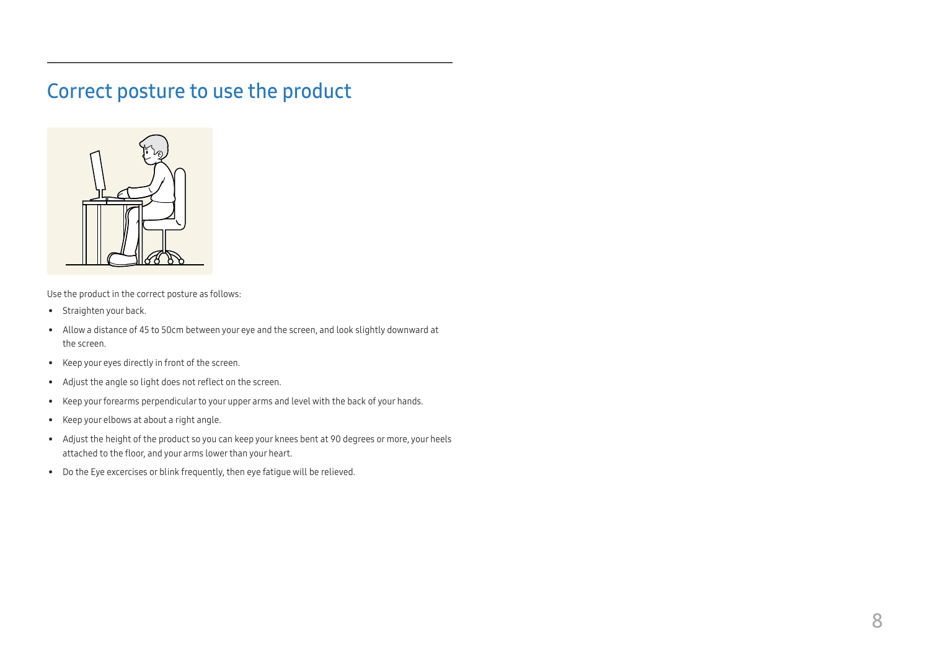## <span id="page-7-0"></span>Correct posture to use the product



Use the product in the correct posture as follows:

- Straighten your back.
- Allow a distance of 45 to 50cm between your eye and the screen, and look slightly downward at the screen.
- Keep your eyes directly in front of the screen.
- Adjust the angle so light does not reflect on the screen.
- Keep your forearms perpendicular to your upper arms and level with the back of your hands.
- Keep your elbows at about a right angle.
- Adjust the height of the product so you can keep your knees bent at 90 degrees or more, your heels attached to the floor, and your arms lower than your heart.
- Do the Eye excercises or blink frequently, then eye fatigue will be relieved.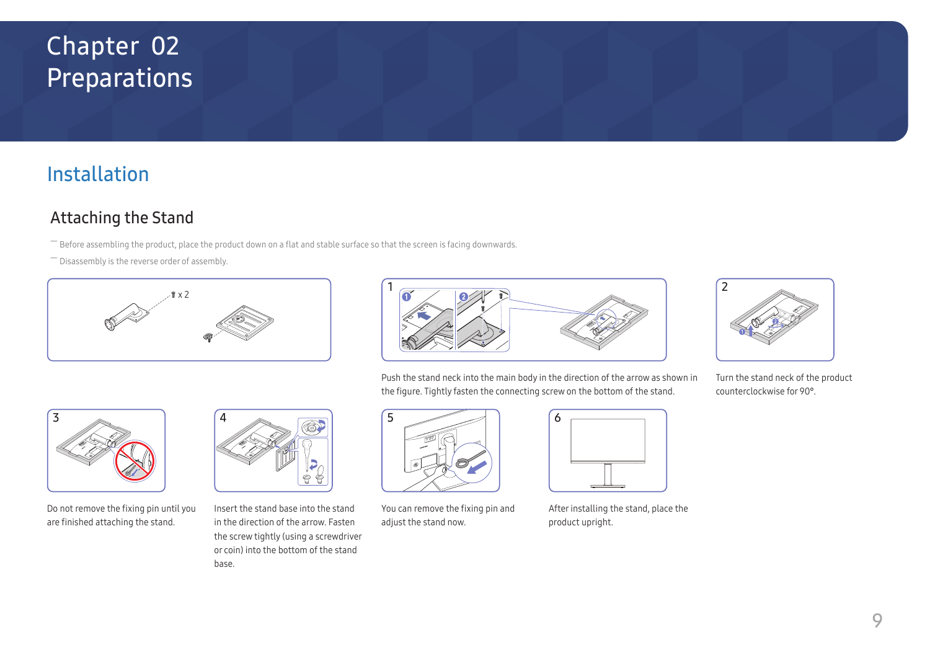# <span id="page-8-0"></span>Preparations Chapter 02

# Installation

### Attaching the Stand

― Before assembling the product, place the product down on a flat and stable surface so that the screen is facing downwards.

― Disassembly is the reverse order of assembly.





Push the stand neck into the main body in the direction of the arrow as shown in the figure. Tightly fasten the connecting screw on the bottom of the stand.



Do not remove the fixing pin until you are finished attaching the stand.



Insert the stand base into the stand in the direction of the arrow. Fasten the screw tightly (using a screwdriver or coin) into the bottom of the stand base.



You can remove the fixing pin and adjust the stand now.



After installing the stand, place the product upright.



Turn the stand neck of the product counterclockwise for 90°.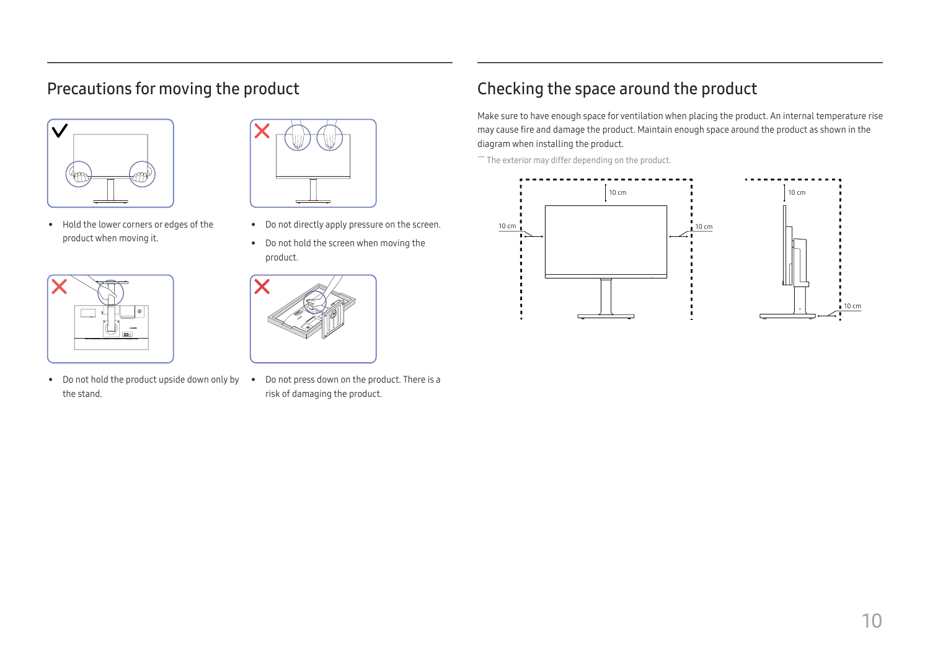### <span id="page-9-0"></span>Precautions for moving the product



• Hold the lower corners or edges of the product when moving it.



• Do not hold the product upside down only by • Do not press down on the product. There is a the stand.



- Do not directly apply pressure on the screen.
- Do not hold the screen when moving the product.



risk of damaging the product.

## Checking the space around the product

Make sure to have enough space for ventilation when placing the product. An internal temperature rise may cause fire and damage the product. Maintain enough space around the product as shown in the diagram when installing the product.

 $-$  The exterior may differ depending on the product.

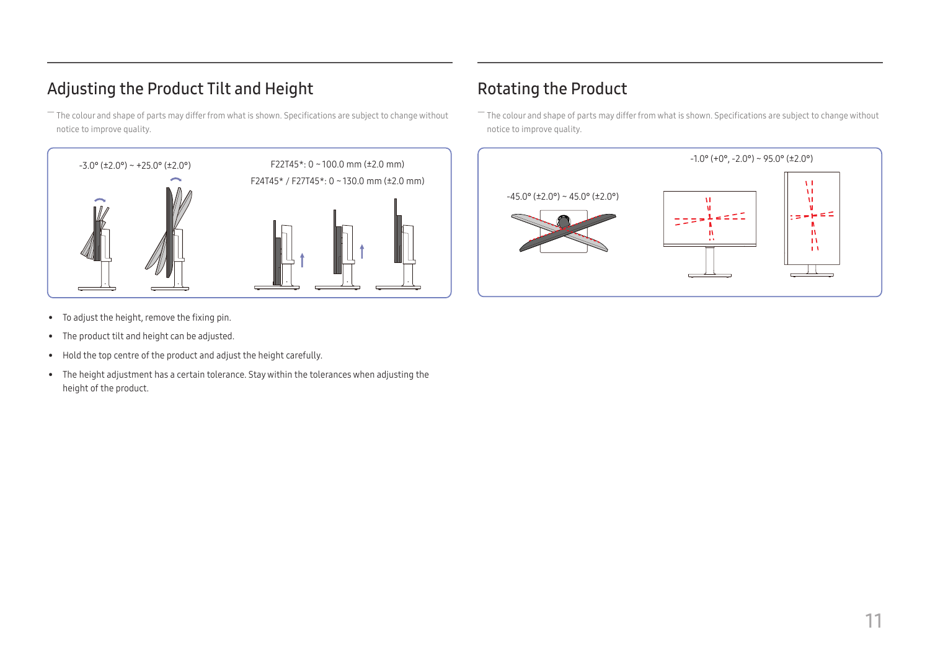### <span id="page-10-0"></span>Adjusting the Product Tilt and Height

― The colour and shape of parts may differ from what is shown. Specifications are subject to change without notice to improve quality.



Rotating the Product

― The colour and shape of parts may differ from what is shown. Specifications are subject to change without notice to improve quality.



- To adjust the height, remove the fixing pin.
- The product tilt and height can be adjusted.
- Hold the top centre of the product and adjust the height carefully.
- The height adjustment has a certain tolerance. Stay within the tolerances when adjusting the height of the product.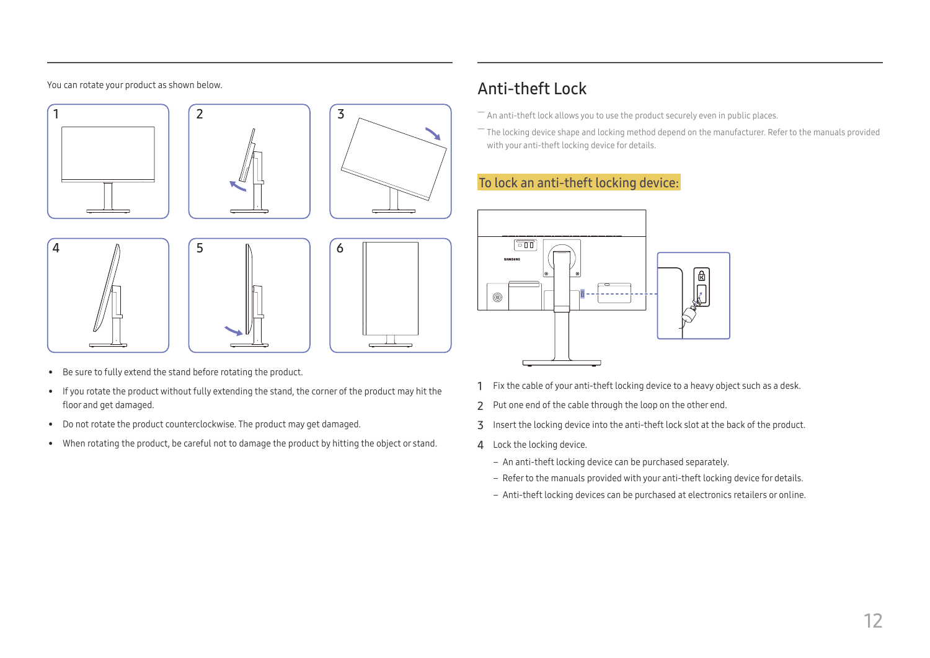#### <span id="page-11-0"></span>You can rotate your product as shown below.













- Be sure to fully extend the stand before rotating the product.
- If you rotate the product without fully extending the stand, the corner of the product may hit the floor and get damaged.
- Do not rotate the product counterclockwise. The product may get damaged.
- When rotating the product, be careful not to damage the product by hitting the object or stand.

## Anti-theft Lock

- $-$  An anti-theft lock allows you to use the product securely even in public places.
- $-$  The locking device shape and locking method depend on the manufacturer. Refer to the manuals provided with your anti-theft locking device for details.

### To lock an anti-theft locking device:



- 1 Fix the cable of your anti-theft locking device to a heavy object such as a desk.
- 2 Put one end of the cable through the loop on the other end.
- 3 Insert the locking device into the anti-theft lock slot at the back of the product.
- 4 Lock the locking device.
	- An anti-theft locking device can be purchased separately.
	- Refer to the manuals provided with your anti-theft locking device for details.
	- Anti-theft locking devices can be purchased at electronics retailers or online.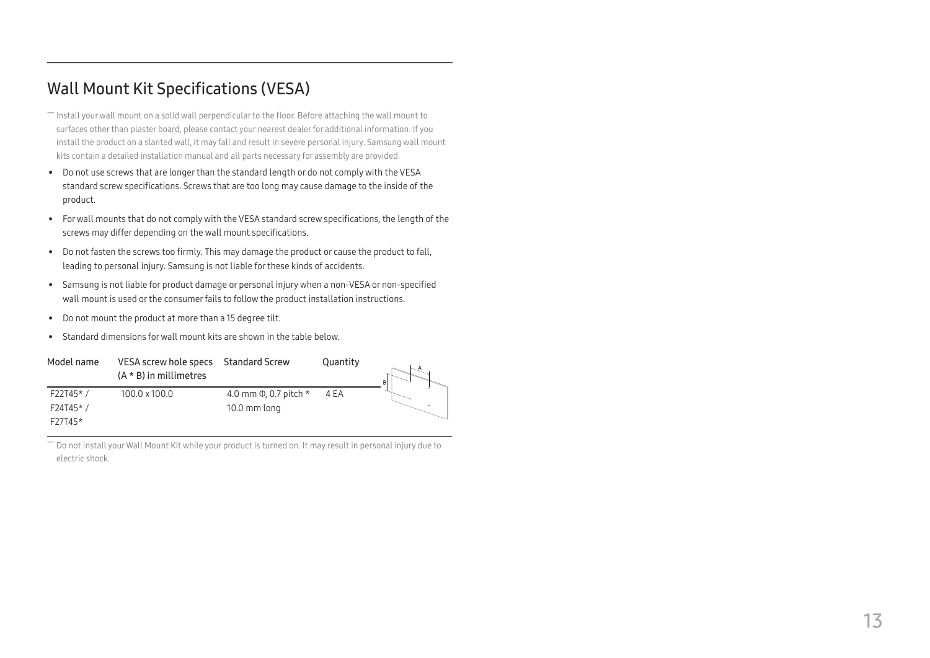### <span id="page-12-0"></span>Wall Mount Kit Specifications (VESA)

- ― Install your wall mount on a solid wall perpendicular to the floor. Before attaching the wall mount to surfaces other than plaster board, please contact your nearest dealer for additional information. If you install the product on a slanted wall, it may fall and result in severe personal injury. Samsung wall mount kits contain a detailed installation manual and all parts necessary for assembly are provided.
- Do not use screws that are longer than the standard length or do not comply with the VESA standard screw specifications. Screws that are too long may cause damage to the inside of the product.
- For wall mounts that do not comply with the VESA standard screw specifications, the length of the screws may differ depending on the wall mount specifications.
- Do not fasten the screws too firmly. This may damage the product or cause the product to fall, leading to personal injury. Samsung is not liable for these kinds of accidents.
- Samsung is not liable for product damage or personal injury when a non-VESA or non-specified wall mount is used or the consumer fails to follow the product installation instructions.
- Do not mount the product at more than a 15 degree tilt.
- Standard dimensions for wall mount kits are shown in the table below.

| Model name | VESA screw hole specs Standard Screw<br>$(A * B)$ in millimetres |                               | Quantity |  |
|------------|------------------------------------------------------------------|-------------------------------|----------|--|
| $F22T45*$  | 100.0 x 100.0                                                    | 4.0 mm $\Phi$ , 0.7 pitch $*$ | 4 EA     |  |
| F24T45*/   |                                                                  | 10.0 mm long                  |          |  |
| $F27T45*$  |                                                                  |                               |          |  |

 $^-$  Do not install your Wall Mount Kit while your product is turned on. It may result in personal injury due to electric shock.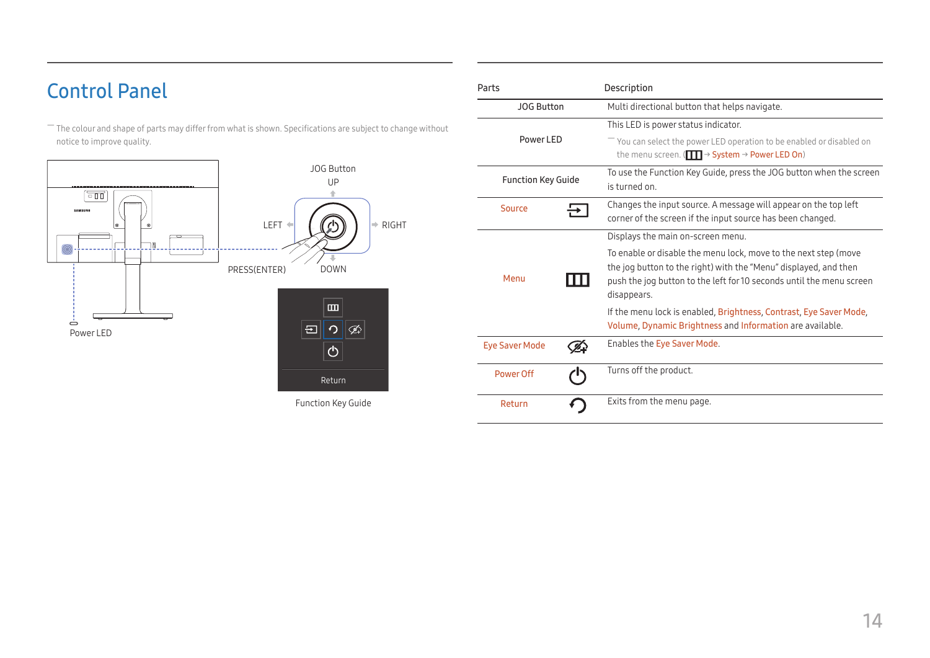# <span id="page-13-0"></span>Control Panel

― The colour and shape of parts may differ from what is shown. Specifications are subject to change without notice to improve quality.



Function Key Guide

| Parts                     |  | Description                                                                                                                                                                                                                |
|---------------------------|--|----------------------------------------------------------------------------------------------------------------------------------------------------------------------------------------------------------------------------|
| <b>JOG Button</b>         |  | Multi directional button that helps navigate.                                                                                                                                                                              |
| Power I FD                |  | This LED is power status indicator.<br>$-$ You can select the power LED operation to be enabled or disabled on                                                                                                             |
|                           |  | the menu screen. ( $\Box$ $\rightarrow$ System $\rightarrow$ Power LED On)                                                                                                                                                 |
| <b>Function Key Guide</b> |  | To use the Function Key Guide, press the JOG button when the screen<br>is turned on                                                                                                                                        |
| Source                    |  | Changes the input source. A message will appear on the top left<br>corner of the screen if the input source has been changed.                                                                                              |
|                           |  | Displays the main on-screen menu.                                                                                                                                                                                          |
| Menu                      |  | To enable or disable the menu lock, move to the next step (move<br>the jog button to the right) with the "Menu" displayed, and then<br>push the jog button to the left for 10 seconds until the menu screen<br>disappears. |
|                           |  | If the menu lock is enabled, Brightness, Contrast, Eye Saver Mode,<br>Volume, Dynamic Brightness and Information are available.                                                                                            |
| <b>Eye Saver Mode</b>     |  | Enables the Eye Saver Mode.                                                                                                                                                                                                |
| Power Off                 |  | Turns off the product.                                                                                                                                                                                                     |
| Return                    |  | Exits from the menu page.                                                                                                                                                                                                  |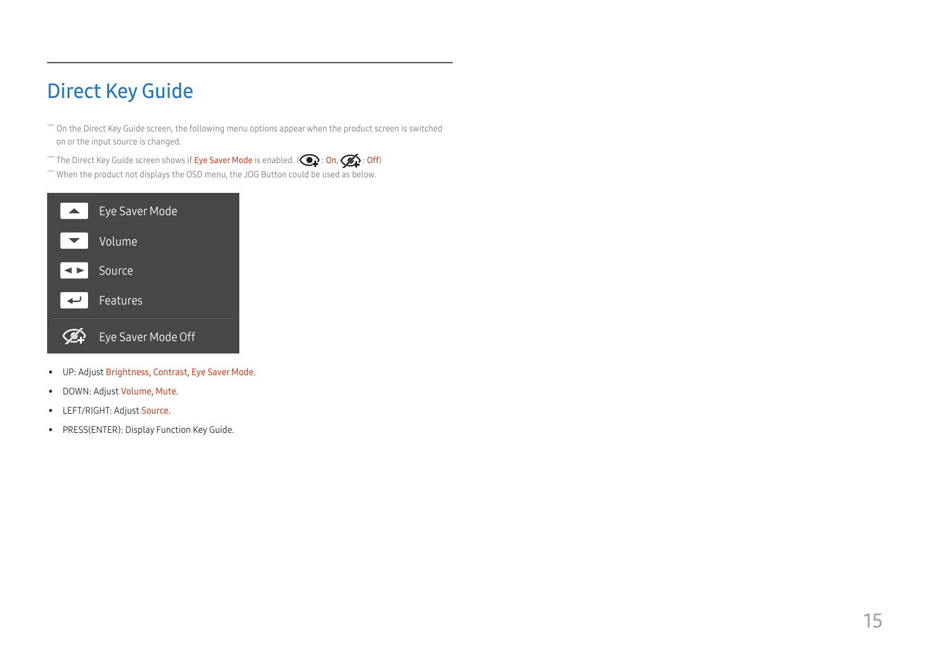# <span id="page-14-0"></span>Direct Key Guide

 $-$  On the Direct Key Guide screen, the following menu options appear when the product screen is switched on or the input source is changed.

<sup>-</sup> The Direct Key Guide screen shows if **Eye Saver Mode** is enabled. ( $\bigodot$ : On,  $\bigcirc$ : Off)

― When the product not displays the OSD menu, the JOG Button could be used as below.



- UP: Adjust Brightness, Contrast, Eye Saver Mode.
- DOWN: Adjust Volume, Mute.
- LEFT/RIGHT: Adjust Source.
- PRESS(ENTER): Display Function Key Guide.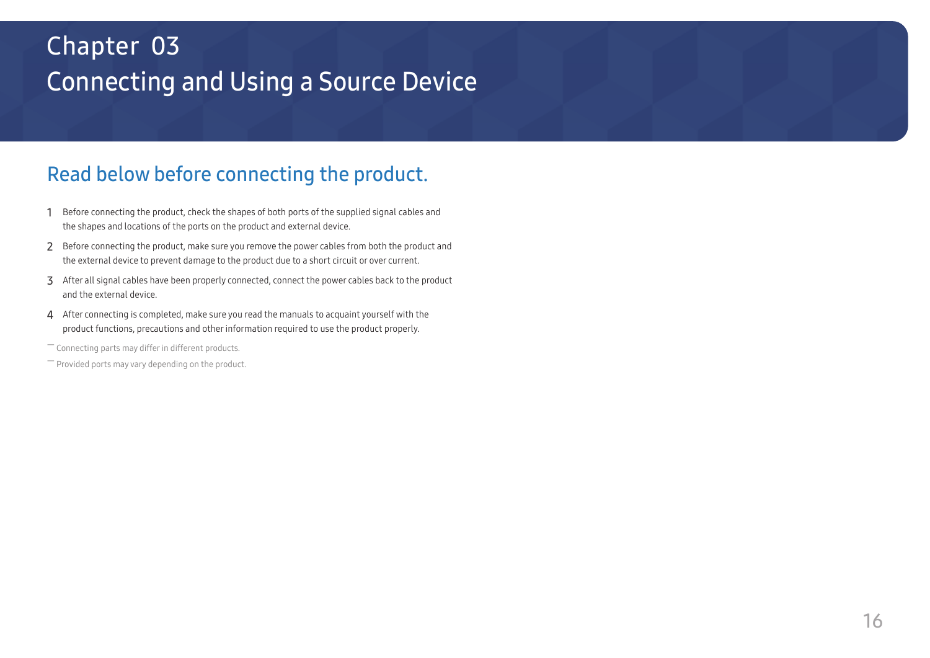# <span id="page-15-0"></span>Connecting and Using a Source Device Chapter 03

# Read below before connecting the product.

- 1 Before connecting the product, check the shapes of both ports of the supplied signal cables and the shapes and locations of the ports on the product and external device.
- 2 Before connecting the product, make sure you remove the power cables from both the product and the external device to prevent damage to the product due to a short circuit or over current.
- 3 After all signal cables have been properly connected, connect the power cables back to the product and the external device.
- 4 After connecting is completed, make sure you read the manuals to acquaint yourself with the product functions, precautions and other information required to use the product properly.

― Connecting parts may differ in different products.

 $-$  Provided ports may vary depending on the product.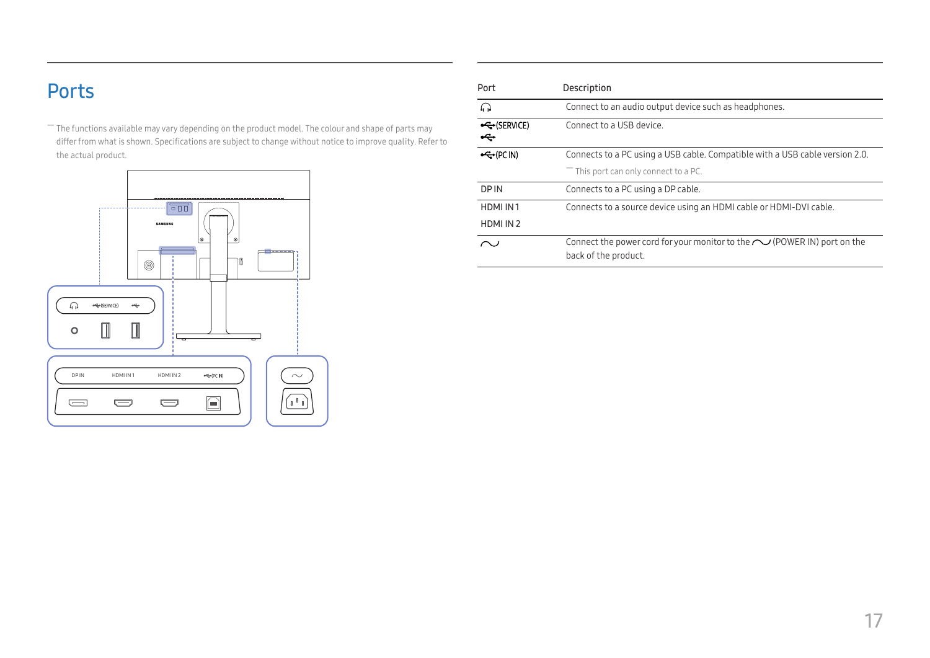# <span id="page-16-0"></span>Ports

 $-$  The functions available may vary depending on the product model. The colour and shape of parts may differ from what is shown. Specifications are subject to change without notice to improve quality. Refer to the actual product.



| Port                 | Description                                                                                          |
|----------------------|------------------------------------------------------------------------------------------------------|
| $\Omega$             | Connect to an audio output device such as headphones.                                                |
| ←← (SERVICE)<br>⊷    | Connect to a USB device.                                                                             |
| $\leftarrow$ (PC IN) | Connects to a PC using a USB cable. Compatible with a USB cable version 2.0.                         |
|                      | $^-$ This port can only connect to a PC.                                                             |
| <b>DPIN</b>          | Connects to a PC using a DP cable.                                                                   |
| HDMI IN1             | Connects to a source device using an HDMI cable or HDMI-DVI cable.                                   |
| HDMI IN 2            |                                                                                                      |
|                      | Connect the power cord for your monitor to the $\sim$ (POWER IN) port on the<br>back of the product. |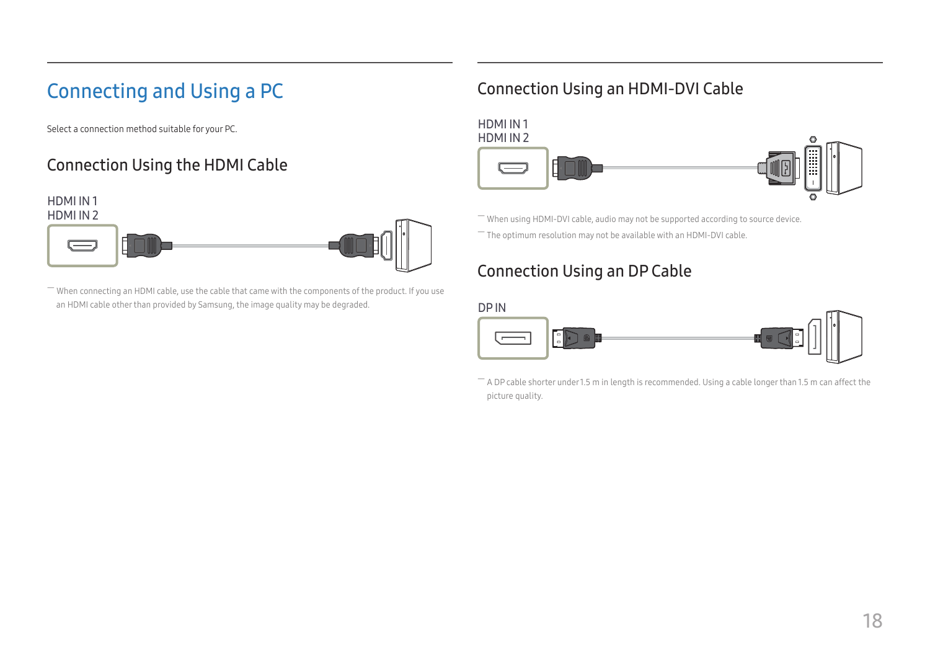# <span id="page-17-0"></span>Connecting and Using a PC

Select a connection method suitable for your PC.

## Connection Using the HDMI Cable



― When connecting an HDMI cable, use the cable that came with the components of the product. If you use an HDMI cable other than provided by Samsung, the image quality may be degraded.

### Connection Using an HDMI-DVI Cable

HDMI IN 1 HDMI IN 2

 $-$  When using HDMI-DVI cable, audio may not be supported according to source device.  $-$  The optimum resolution may not be available with an HDMI-DVI cable.

### Connection Using an DP Cable



 $-$  A DP cable shorter under 1.5 m in length is recommended. Using a cable longer than 1.5 m can affect the picture quality.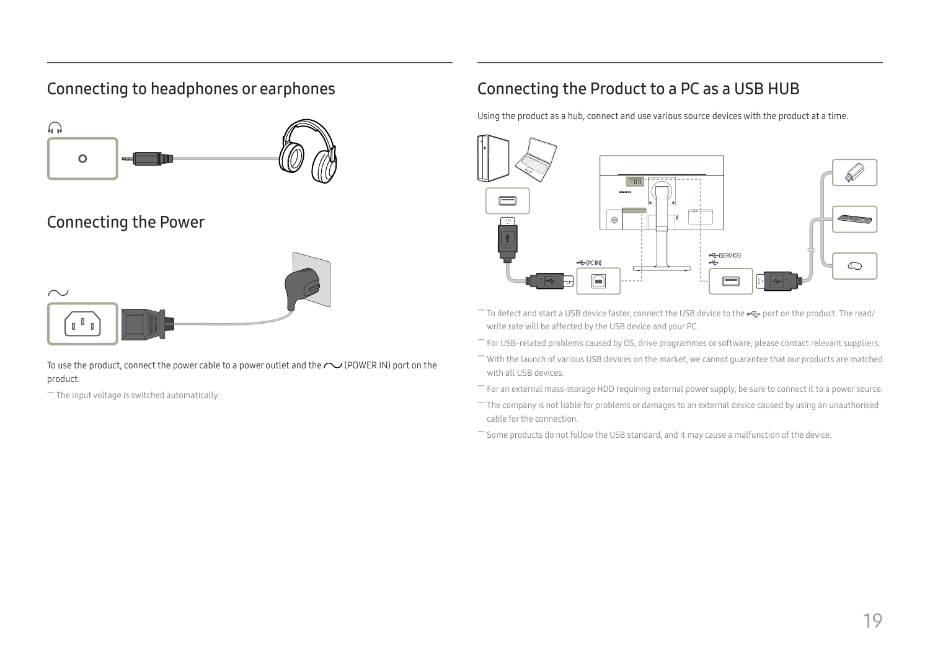### <span id="page-18-0"></span>Connecting to headphones or earphones



### Connecting the Power



To use the product, connect the power cable to a power outlet and the  $\sim$  (POWER IN) port on the product.

― The input voltage is switched automatically.

### Connecting the Product to a PC as a USB HUB

Using the product as a hub, connect and use various source devices with the product at a time.



- To detect and start a USB device faster, connect the USB device to the  $\leftrightarrow$  port on the product. The read/ write rate will be affected by the USB device and your PC.
- ― For USB-related problems caused by OS, drive programmes or software, please contact relevant suppliers.
- ― With the launch of various USB devices on the market, we cannot guarantee that our products are matched with all USB devices.
- ― For an external mass-storage HDD requiring external power supply, be sure to connect it to a power source.
- $-$  The company is not liable for problems or damages to an external device caused by using an unauthorised cable for the connection.
- $-$  Some products do not follow the USB standard, and it may cause a malfunction of the device.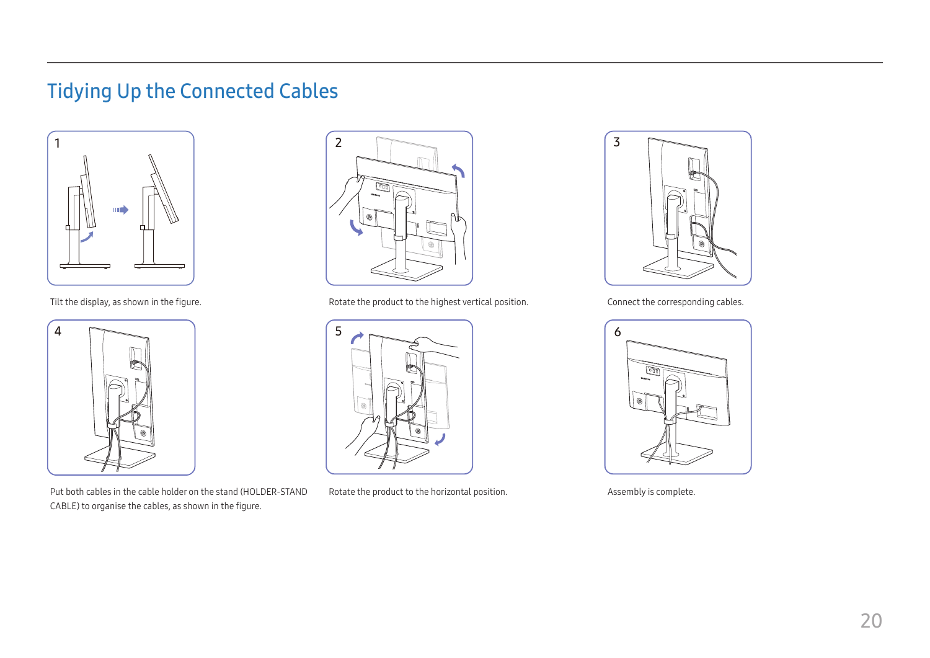# <span id="page-19-0"></span>Tidying Up the Connected Cables





Put both cables in the cable holder on the stand (HOLDER-STAND CABLE) to organise the cables, as shown in the figure.



Tilt the display, as shown in the figure. The state the product to the highest vertical position. Connect the corresponding cables.



Rotate the product to the horizontal position. Assembly is complete.



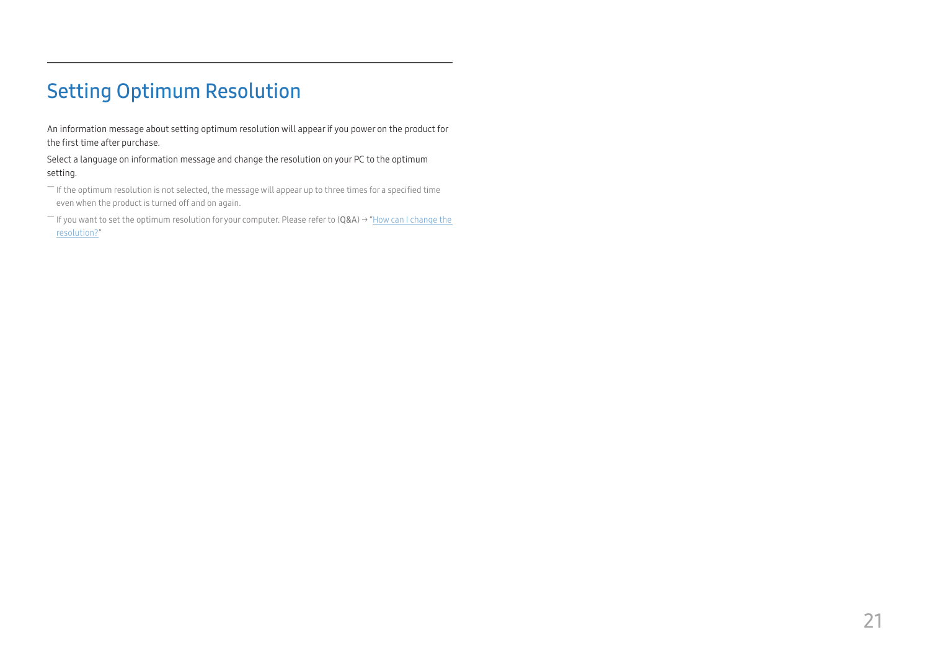# <span id="page-20-0"></span>Setting Optimum Resolution

An information message about setting optimum resolution will appear if you power on the product for the first time after purchase.

Select a language on information message and change the resolution on your PC to the optimum setting.

 $-$  If the optimum resolution is not selected, the message will appear up to three times for a specified time even when the product is turned off and on again.

― If you want to set the optimum resolution for your computer. Please refer to (Q&A) → "[How can I change the](#page-32-1)  [resolution?](#page-32-1)"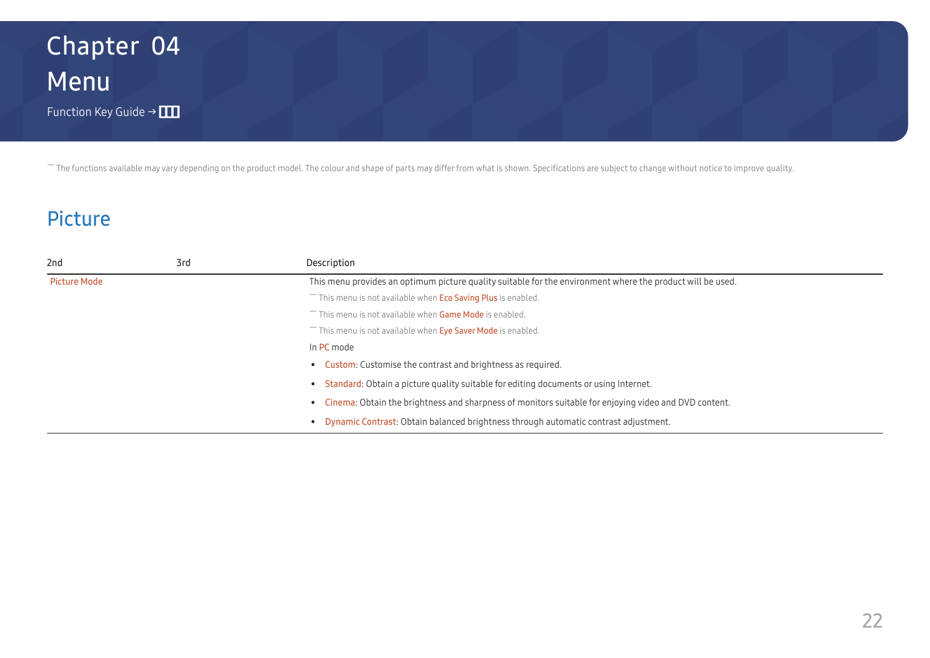# <span id="page-21-0"></span>Menu Function Key Guide →  $\Box$ Chapter 04

― The functions available may vary depending on the product model. The colour and shape of parts may differ from what is shown. Specifications are subject to change without notice to improve quality.

## Picture

| 2nd                 | 3rd | Description                                                                                                |
|---------------------|-----|------------------------------------------------------------------------------------------------------------|
| <b>Picture Mode</b> |     | This menu provides an optimum picture quality suitable for the environment where the product will be used. |
|                     |     | This menu is not available when <b>Eco Saving Plus</b> is enabled.                                         |
|                     |     | This menu is not available when Game Mode is enabled.                                                      |
|                     |     | This menu is not available when <b>Eye Saver Mode</b> is enabled.                                          |
|                     |     | In PC mode                                                                                                 |
|                     |     | <b>Custom:</b> Customise the contrast and brightness as required.                                          |
|                     |     | Standard: Obtain a picture quality suitable for editing documents or using Internet.                       |
|                     |     | Cinema: Obtain the brightness and sharpness of monitors suitable for enjoying video and DVD content.       |
|                     |     | Dynamic Contrast: Obtain balanced brightness through automatic contrast adjustment.                        |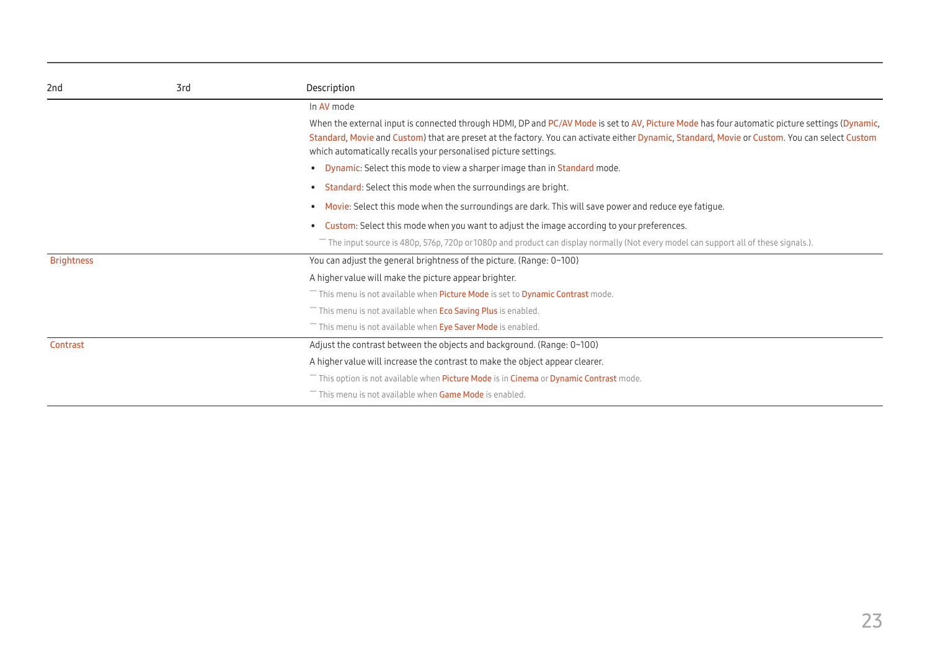| 2nd               | 3rd | Description                                                                                                                                                                                                                                                                                                                                                       |  |  |  |  |
|-------------------|-----|-------------------------------------------------------------------------------------------------------------------------------------------------------------------------------------------------------------------------------------------------------------------------------------------------------------------------------------------------------------------|--|--|--|--|
|                   |     | In AV mode                                                                                                                                                                                                                                                                                                                                                        |  |  |  |  |
|                   |     | When the external input is connected through HDMI, DP and PC/AV Mode is set to AV, Picture Mode has four automatic picture settings (Dynamic,<br>Standard, Movie and Custom) that are preset at the factory. You can activate either Dynamic, Standard, Movie or Custom. You can select Custom<br>which automatically recalls your personalised picture settings. |  |  |  |  |
|                   |     | • Dynamic: Select this mode to view a sharper image than in Standard mode.                                                                                                                                                                                                                                                                                        |  |  |  |  |
|                   |     | <b>Standard:</b> Select this mode when the surroundings are bright.                                                                                                                                                                                                                                                                                               |  |  |  |  |
|                   |     | Movie: Select this mode when the surroundings are dark. This will save power and reduce eye fatigue.                                                                                                                                                                                                                                                              |  |  |  |  |
|                   |     | Custom: Select this mode when you want to adjust the image according to your preferences.                                                                                                                                                                                                                                                                         |  |  |  |  |
|                   |     | The input source is 480p, 576p, 720p or 1080p and product can display normally (Not every model can support all of these signals.).                                                                                                                                                                                                                               |  |  |  |  |
| <b>Brightness</b> |     | You can adjust the general brightness of the picture. (Range: 0~100)                                                                                                                                                                                                                                                                                              |  |  |  |  |
|                   |     | A higher value will make the picture appear brighter.                                                                                                                                                                                                                                                                                                             |  |  |  |  |
|                   |     | $^-$ This menu is not available when <b>Picture Mode</b> is set to <b>Dynamic Contrast</b> mode.                                                                                                                                                                                                                                                                  |  |  |  |  |
|                   |     | This menu is not available when Eco Saving Plus is enabled.                                                                                                                                                                                                                                                                                                       |  |  |  |  |
|                   |     | This menu is not available when Eye Saver Mode is enabled.                                                                                                                                                                                                                                                                                                        |  |  |  |  |
| Contrast          |     | Adjust the contrast between the objects and background. (Range: 0~100)                                                                                                                                                                                                                                                                                            |  |  |  |  |
|                   |     | A higher value will increase the contrast to make the object appear clearer.                                                                                                                                                                                                                                                                                      |  |  |  |  |
|                   |     | This option is not available when Picture Mode is in Cinema or Dynamic Contrast mode.                                                                                                                                                                                                                                                                             |  |  |  |  |
|                   |     | This menu is not available when Game Mode is enabled.                                                                                                                                                                                                                                                                                                             |  |  |  |  |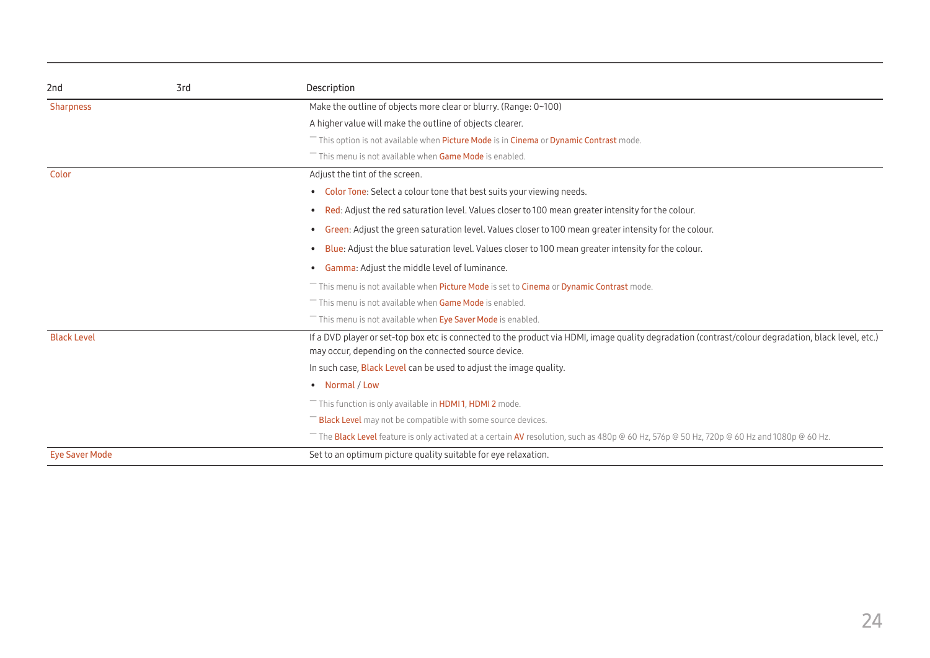| 2nd                   | 3rd | Description                                                                                                                                                                                                 |
|-----------------------|-----|-------------------------------------------------------------------------------------------------------------------------------------------------------------------------------------------------------------|
| <b>Sharpness</b>      |     | Make the outline of objects more clear or blurry. (Range: 0~100)                                                                                                                                            |
|                       |     | A higher value will make the outline of objects clearer.                                                                                                                                                    |
|                       |     | This option is not available when Picture Mode is in Cinema or Dynamic Contrast mode.                                                                                                                       |
|                       |     | This menu is not available when Game Mode is enabled.                                                                                                                                                       |
| Color                 |     | Adjust the tint of the screen.                                                                                                                                                                              |
|                       |     | • Color Tone: Select a colour tone that best suits your viewing needs.                                                                                                                                      |
|                       |     | Red: Adjust the red saturation level. Values closer to 100 mean greater intensity for the colour.<br>$\bullet$                                                                                              |
|                       |     | • Green: Adjust the green saturation level. Values closer to 100 mean greater intensity for the colour.                                                                                                     |
|                       |     | Blue: Adjust the blue saturation level. Values closer to 100 mean greater intensity for the colour.                                                                                                         |
|                       |     | • Gamma: Adjust the middle level of luminance.                                                                                                                                                              |
|                       |     | This menu is not available when Picture Mode is set to Cinema or Dynamic Contrast mode.                                                                                                                     |
|                       |     | This menu is not available when Game Mode is enabled.                                                                                                                                                       |
|                       |     | This menu is not available when Eye Saver Mode is enabled.                                                                                                                                                  |
| <b>Black Level</b>    |     | If a DVD player or set-top box etc is connected to the product via HDMI, image quality degradation (contrast/colour degradation, black level, etc.)<br>may occur, depending on the connected source device. |
|                       |     | In such case, <b>Black Level</b> can be used to adjust the image quality.                                                                                                                                   |
|                       |     | • Normal / Low                                                                                                                                                                                              |
|                       |     | This function is only available in <b>HDMI1, HDMI2</b> mode.                                                                                                                                                |
|                       |     | <b>Black Level</b> may not be compatible with some source devices.                                                                                                                                          |
|                       |     | The Black Level feature is only activated at a certain AV resolution, such as 480p @ 60 Hz, 576p @ 50 Hz, 720p @ 60 Hz and 1080p @ 60 Hz.                                                                   |
| <b>Eye Saver Mode</b> |     | Set to an optimum picture quality suitable for eye relaxation.                                                                                                                                              |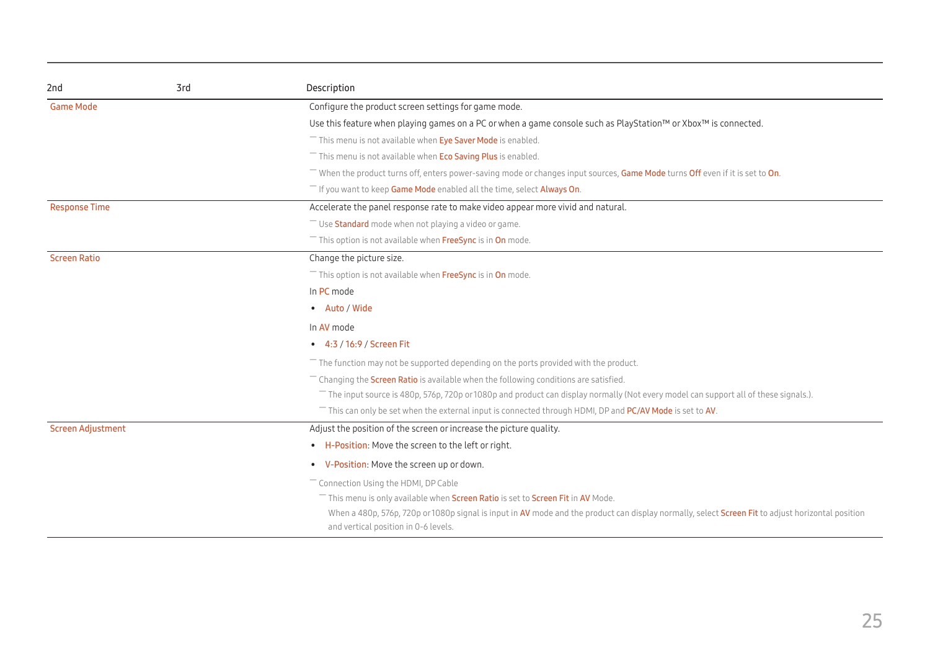| 2nd                      | 3rd | Description                                                                                                                                                                               |  |  |
|--------------------------|-----|-------------------------------------------------------------------------------------------------------------------------------------------------------------------------------------------|--|--|
| <b>Game Mode</b>         |     | Configure the product screen settings for game mode.                                                                                                                                      |  |  |
|                          |     | Use this feature when playing games on a PC or when a game console such as PlayStation™ or Xbox™ is connected.                                                                            |  |  |
|                          |     | <sup>-</sup> This menu is not available when Eye Saver Mode is enabled.                                                                                                                   |  |  |
|                          |     | This menu is not available when <b>Eco Saving Plus</b> is enabled.                                                                                                                        |  |  |
|                          |     | - When the product turns off, enters power-saving mode or changes input sources, Game Mode turns Off even if it is set to On.                                                             |  |  |
|                          |     | <sup>-</sup> If you want to keep Game Mode enabled all the time, select Always On.                                                                                                        |  |  |
| <b>Response Time</b>     |     | Accelerate the panel response rate to make video appear more vivid and natural.                                                                                                           |  |  |
|                          |     | Use Standard mode when not playing a video or game.                                                                                                                                       |  |  |
|                          |     | This option is not available when FreeSync is in On mode.                                                                                                                                 |  |  |
| <b>Screen Ratio</b>      |     | Change the picture size.                                                                                                                                                                  |  |  |
|                          |     | This option is not available when FreeSync is in On mode.                                                                                                                                 |  |  |
|                          |     | In PC mode                                                                                                                                                                                |  |  |
|                          |     | • Auto / Wide                                                                                                                                                                             |  |  |
|                          |     | In AV mode                                                                                                                                                                                |  |  |
|                          |     | • 4:3 / 16:9 / Screen Fit                                                                                                                                                                 |  |  |
|                          |     | $-$ The function may not be supported depending on the ports provided with the product.                                                                                                   |  |  |
|                          |     | Changing the <b>Screen Ratio</b> is available when the following conditions are satisfied.                                                                                                |  |  |
|                          |     | The input source is 480p, 576p, 720p or 1080p and product can display normally (Not every model can support all of these signals.).                                                       |  |  |
|                          |     | This can only be set when the external input is connected through HDMI, DP and PC/AV Mode is set to AV.                                                                                   |  |  |
| <b>Screen Adjustment</b> |     | Adjust the position of the screen or increase the picture quality.                                                                                                                        |  |  |
|                          |     | • H-Position: Move the screen to the left or right.                                                                                                                                       |  |  |
|                          |     | • V-Position: Move the screen up or down.                                                                                                                                                 |  |  |
|                          |     | Connection Using the HDMI, DP Cable                                                                                                                                                       |  |  |
|                          |     | This menu is only available when Screen Ratio is set to Screen Fit in AV Mode.                                                                                                            |  |  |
|                          |     | When a 480p, 576p, 720p or 1080p signal is input in AV mode and the product can display normally, select Screen Fit to adjust horizontal position<br>and vertical position in 0-6 levels. |  |  |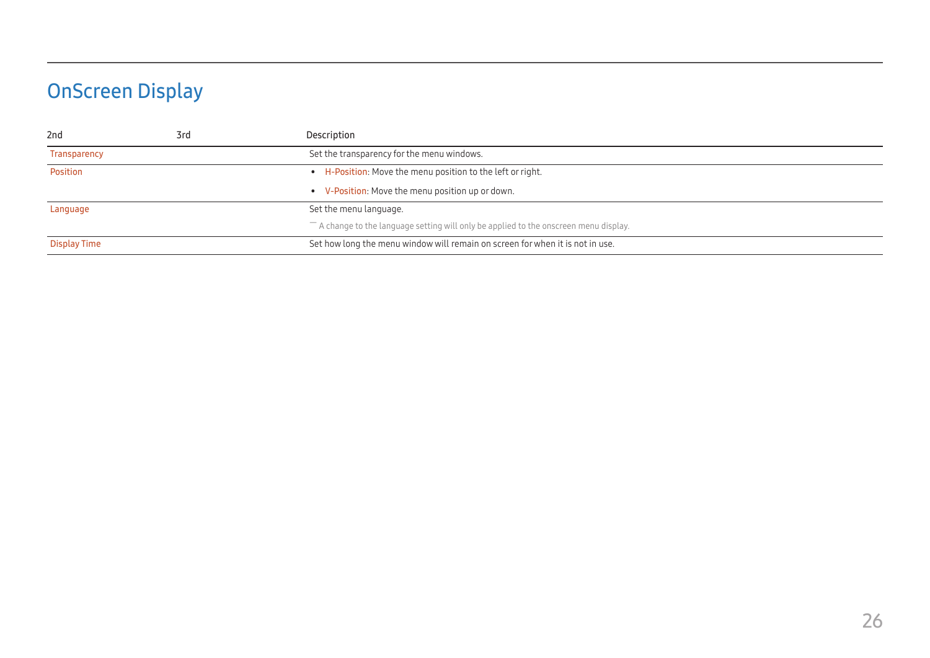# <span id="page-25-0"></span>OnScreen Display

| 2 <sub>nd</sub> | 3rd | Description                                                                             |
|-----------------|-----|-----------------------------------------------------------------------------------------|
| Transparency    |     | Set the transparency for the menu windows.                                              |
| Position        |     | • H-Position: Move the menu position to the left or right.                              |
|                 |     | • V-Position: Move the menu position up or down.                                        |
| Language        |     | Set the menu language.                                                                  |
|                 |     | $-$ A change to the language setting will only be applied to the onscreen menu display. |
| Display Time    |     | Set how long the menu window will remain on screen for when it is not in use.           |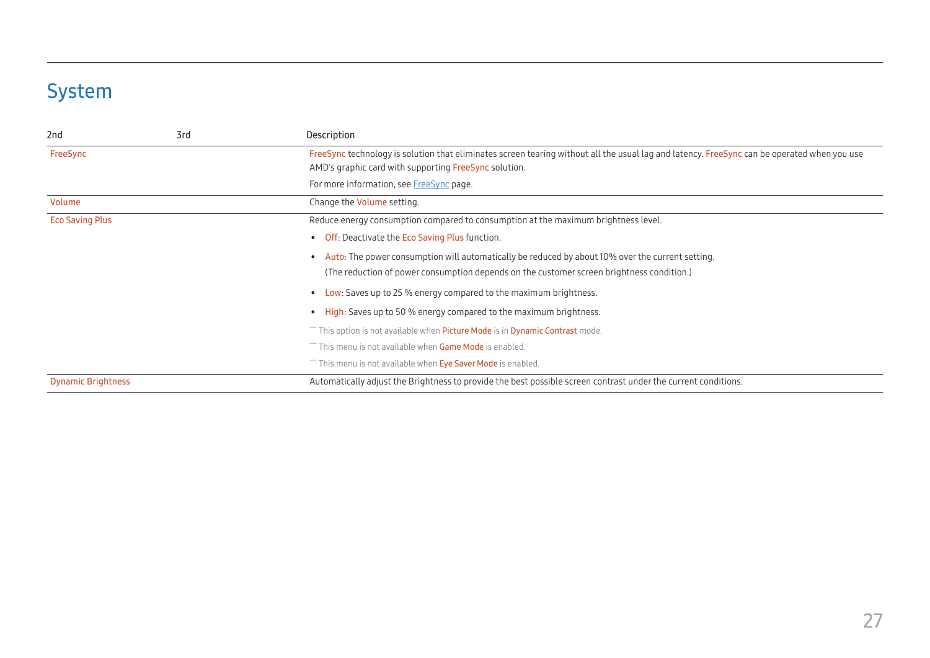# <span id="page-26-0"></span>System

| 2 <sub>nd</sub>                             | 3rd | Description                                                                                                                                                                                          |  |  |
|---------------------------------------------|-----|------------------------------------------------------------------------------------------------------------------------------------------------------------------------------------------------------|--|--|
| FreeSync                                    |     | FreeSync technology is solution that eliminates screen tearing without all the usual lag and latency. FreeSync can be operated when you use<br>AMD's graphic card with supporting FreeSync solution. |  |  |
|                                             |     | For more information, see FreeSync page.                                                                                                                                                             |  |  |
| Volume<br>Change the <b>Volume</b> setting. |     |                                                                                                                                                                                                      |  |  |
| <b>Eco Saving Plus</b>                      |     | Reduce energy consumption compared to consumption at the maximum brightness level.                                                                                                                   |  |  |
|                                             |     | <b>Off:</b> Deactivate the <b>Eco Saving Plus</b> function.                                                                                                                                          |  |  |
|                                             |     | Auto: The power consumption will automatically be reduced by about 10% over the current setting.                                                                                                     |  |  |
|                                             |     | (The reduction of power consumption depends on the customer screen brightness condition.)                                                                                                            |  |  |
|                                             |     | Low: Saves up to 25 % energy compared to the maximum brightness.                                                                                                                                     |  |  |
|                                             |     | <b>High:</b> Saves up to 50 % energy compared to the maximum brightness.                                                                                                                             |  |  |
|                                             |     | This option is not available when Picture Mode is in Dynamic Contrast mode.                                                                                                                          |  |  |
|                                             |     | This menu is not available when Game Mode is enabled.                                                                                                                                                |  |  |
|                                             |     | This menu is not available when Eye Saver Mode is enabled.                                                                                                                                           |  |  |
| <b>Dynamic Brightness</b>                   |     | Automatically adjust the Brightness to provide the best possible screen contrast under the current conditions.                                                                                       |  |  |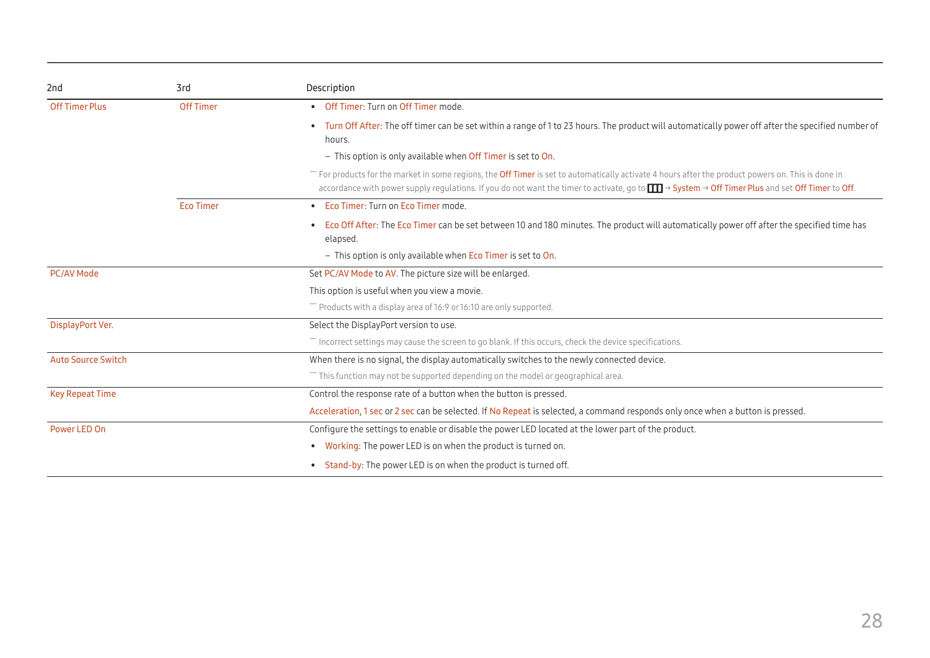| 2nd<br>3rd                |                  | Description                                                                                                                                                                                                                                                                                                         |  |  |  |
|---------------------------|------------------|---------------------------------------------------------------------------------------------------------------------------------------------------------------------------------------------------------------------------------------------------------------------------------------------------------------------|--|--|--|
| <b>Off Timer Plus</b>     | <b>Off Timer</b> | • Off Timer: Turn on Off Timer mode.                                                                                                                                                                                                                                                                                |  |  |  |
|                           |                  | • Turn Off After: The off timer can be set within a range of 1 to 23 hours. The product will automatically power off after the specified number of<br>hours.                                                                                                                                                        |  |  |  |
|                           |                  | - This option is only available when Off Timer is set to On.                                                                                                                                                                                                                                                        |  |  |  |
|                           |                  | For products for the market in some regions, the <b>Off Timer</b> is set to automatically activate 4 hours after the product powers on. This is done in<br>accordance with power supply regulations. If you do not want the timer to activate, go to <b>III</b> → System → Off Timer Plus and set Off Timer to Off. |  |  |  |
|                           | <b>Eco Timer</b> | • Eco Timer: Turn on Eco Timer mode.                                                                                                                                                                                                                                                                                |  |  |  |
|                           |                  | • Eco Off After: The Eco Timer can be set between 10 and 180 minutes. The product will automatically power off after the specified time has<br>elapsed.                                                                                                                                                             |  |  |  |
|                           |                  | $-$ This option is only available when Eco Timer is set to On.                                                                                                                                                                                                                                                      |  |  |  |
| <b>PC/AV Mode</b>         |                  | Set PC/AV Mode to AV. The picture size will be enlarged.                                                                                                                                                                                                                                                            |  |  |  |
|                           |                  | This option is useful when you view a movie.                                                                                                                                                                                                                                                                        |  |  |  |
|                           |                  | $^-$ Products with a display area of 16:9 or 16:10 are only supported.                                                                                                                                                                                                                                              |  |  |  |
| DisplayPort Ver.          |                  | Select the DisplayPort version to use.                                                                                                                                                                                                                                                                              |  |  |  |
|                           |                  | Incorrect settings may cause the screen to go blank. If this occurs, check the device specifications.                                                                                                                                                                                                               |  |  |  |
| <b>Auto Source Switch</b> |                  | When there is no signal, the display automatically switches to the newly connected device.                                                                                                                                                                                                                          |  |  |  |
|                           |                  | This function may not be supported depending on the model or geographical area.                                                                                                                                                                                                                                     |  |  |  |
| <b>Key Repeat Time</b>    |                  | Control the response rate of a button when the button is pressed.                                                                                                                                                                                                                                                   |  |  |  |
|                           |                  | Acceleration, 1 sec or 2 sec can be selected. If No Repeat is selected, a command responds only once when a button is pressed.                                                                                                                                                                                      |  |  |  |
| Power LED On              |                  | Configure the settings to enable or disable the power LED located at the lower part of the product.                                                                                                                                                                                                                 |  |  |  |
|                           |                  | • Working: The power LED is on when the product is turned on.                                                                                                                                                                                                                                                       |  |  |  |
|                           |                  | • Stand-by: The power LED is on when the product is turned off.                                                                                                                                                                                                                                                     |  |  |  |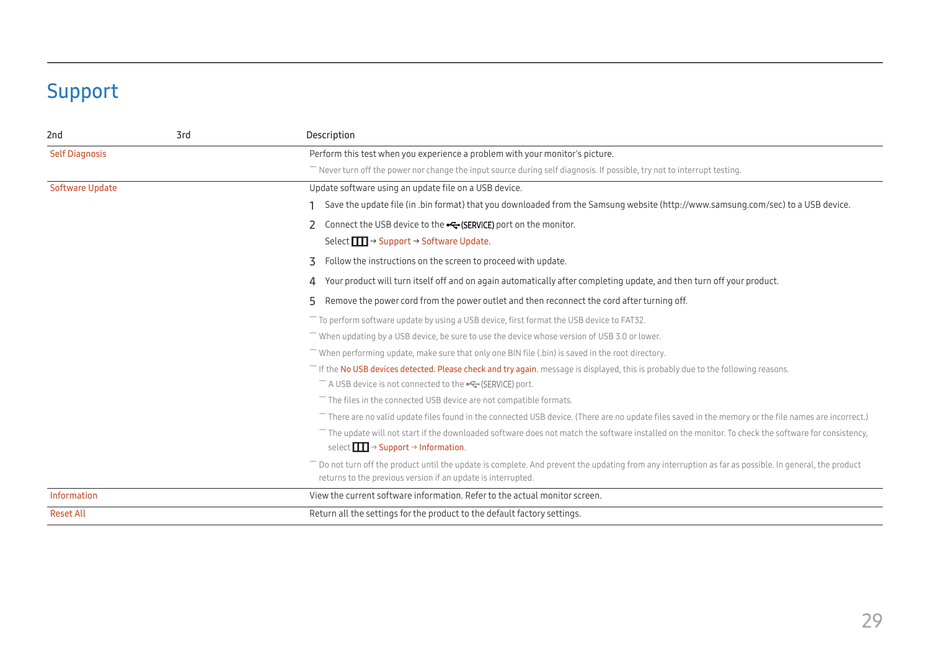# <span id="page-28-0"></span>Support

<span id="page-28-1"></span>

| 2 <sub>nd</sub>                                                                                       | 3rd | Description                                                                                                                                                                                                          |  |  |
|-------------------------------------------------------------------------------------------------------|-----|----------------------------------------------------------------------------------------------------------------------------------------------------------------------------------------------------------------------|--|--|
| <b>Self Diagnosis</b><br>Perform this test when you experience a problem with your monitor's picture. |     |                                                                                                                                                                                                                      |  |  |
|                                                                                                       |     | Never turn off the power nor change the input source during self diagnosis. If possible, try not to interrupt testing.                                                                                               |  |  |
| <b>Software Update</b>                                                                                |     | Update software using an update file on a USB device.                                                                                                                                                                |  |  |
|                                                                                                       |     | Save the update file (in .bin format) that you downloaded from the Samsung website (http://www.samsung.com/sec) to a USB device.                                                                                     |  |  |
|                                                                                                       |     | Connect the USB device to the G- (SERVICE) port on the monitor.                                                                                                                                                      |  |  |
|                                                                                                       |     | Select $\boxed{1}$ → Support → Software Update.                                                                                                                                                                      |  |  |
|                                                                                                       |     | 3<br>Follow the instructions on the screen to proceed with update.                                                                                                                                                   |  |  |
|                                                                                                       |     | Your product will turn itself off and on again automatically after completing update, and then turn off your product.<br>4                                                                                           |  |  |
|                                                                                                       |     | Remove the power cord from the power outlet and then reconnect the cord after turning off.<br>5.                                                                                                                     |  |  |
|                                                                                                       |     | $-$ To perform software update by using a USB device, first format the USB device to FAT32.                                                                                                                          |  |  |
|                                                                                                       |     | When updating by a USB device, be sure to use the device whose version of USB 3.0 or lower.                                                                                                                          |  |  |
|                                                                                                       |     | When performing update, make sure that only one BIN file (.bin) is saved in the root directory.                                                                                                                      |  |  |
|                                                                                                       |     | The No USB devices detected. Please check and try again. message is displayed, this is probably due to the following reasons.                                                                                        |  |  |
|                                                                                                       |     | $^-$ A USB device is not connected to the $\leftarrow\leftarrow$ (SERVICE) port.                                                                                                                                     |  |  |
|                                                                                                       |     | $-$ The files in the connected USB device are not compatible formats.                                                                                                                                                |  |  |
|                                                                                                       |     | $-$ There are no valid update files found in the connected USB device. (There are no update files saved in the memory or the file names are incorrect.)                                                              |  |  |
|                                                                                                       |     | $-$ The update will not start if the downloaded software does not match the software installed on the monitor. To check the software for consistency,                                                                |  |  |
|                                                                                                       |     | select $\boxed{\blacksquare}$ $\rightarrow$ Support $\rightarrow$ Information.                                                                                                                                       |  |  |
|                                                                                                       |     | Do not turn off the product until the update is complete. And prevent the updating from any interruption as far as possible. In general, the product<br>returns to the previous version if an update is interrupted. |  |  |
| Information                                                                                           |     | View the current software information. Refer to the actual monitor screen.                                                                                                                                           |  |  |
| <b>Reset All</b>                                                                                      |     | Return all the settings for the product to the default factory settings.                                                                                                                                             |  |  |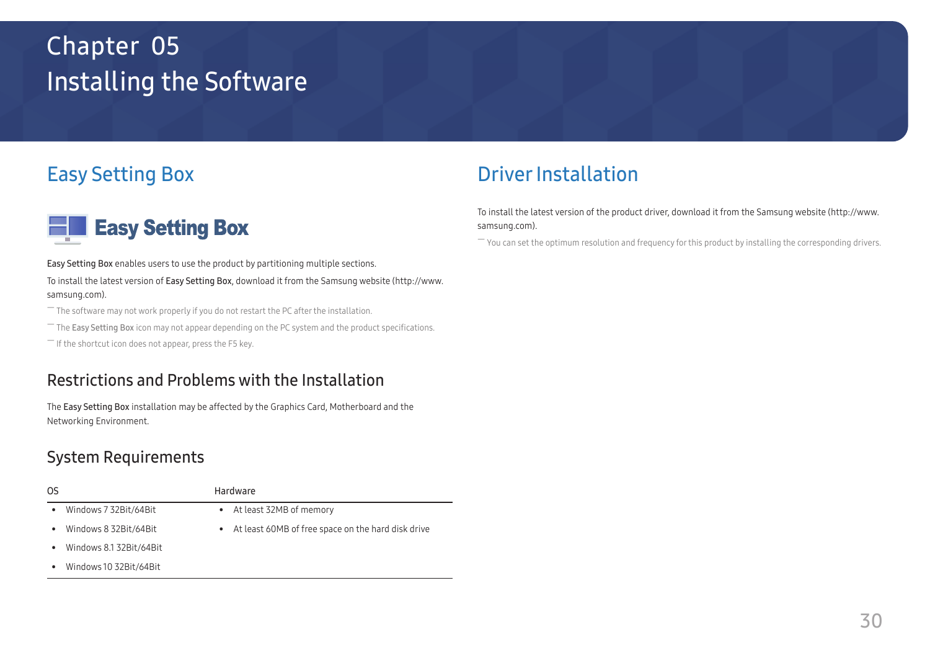# <span id="page-29-0"></span>Installing the Software Chapter 05

# Easy Setting Box



Easy Setting Box enables users to use the product by partitioning multiple sections.

To install the latest version of Easy Setting Box, download it from the Samsung website (http://www. samsung.com).

 $-$  The software may not work properly if you do not restart the PC after the installation.

 $-$  The Easy Setting Box icon may not appear depending on the PC system and the product specifications.

 $-$  If the shortcut icon does not appear, press the F5 key.

### Restrictions and Problems with the Installation

The Easy Setting Box installation may be affected by the Graphics Card, Motherboard and the Networking Environment.

### System Requirements

| OS                                   | Hardware                                                        |
|--------------------------------------|-----------------------------------------------------------------|
| Windows 7 32Bit/64Bit<br>$\bullet$   | • At least 32MB of memory                                       |
| Windows 8 32Bit/64Bit<br>٠           | At least 60MB of free space on the hard disk drive<br>$\bullet$ |
| Windows 8.1 32Bit/64Bit<br>$\bullet$ |                                                                 |
| Windows 10 32Bit/64Bit               |                                                                 |

# Driver Installation

To install the latest version of the product driver, download it from the Samsung website (http://www. samsung.com).

 $-$  You can set the optimum resolution and frequency for this product by installing the corresponding drivers.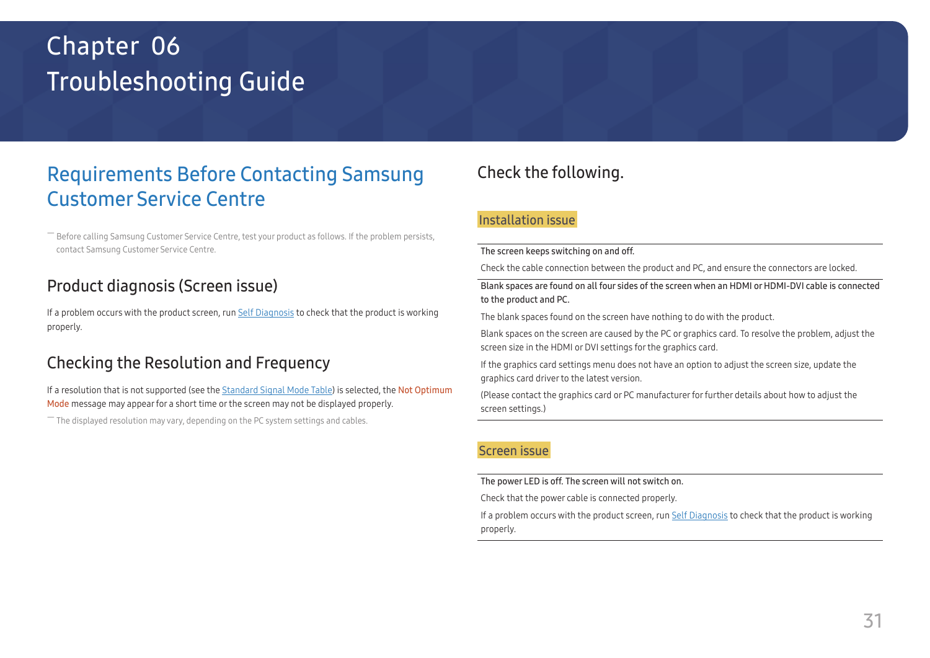# <span id="page-30-0"></span>Troubleshooting Guide Chapter 06

# Requirements Before Contacting Samsung Customer Service Centre

― Before calling Samsung Customer Service Centre, test your product as follows. If the problem persists, contact Samsung Customer Service Centre.

### Product diagnosis (Screen issue)

If a problem occurs with the product screen, run [Self Diagnosis](#page-28-1) to check that the product is working properly.

### Checking the Resolution and Frequency

If a resolution that is not supported (see the [Standard Signal Mode Table\)](#page-35-1) is selected, the Not Optimum Mode message may appear for a short time or the screen may not be displayed properly.

 $-$  The displayed resolution may vary, depending on the PC system settings and cables.

## Check the following.

### Installation issue

#### The screen keeps switching on and off.

Check the cable connection between the product and PC, and ensure the connectors are locked.

Blank spaces are found on all four sides of the screen when an HDMI or HDMI-DVI cable is connected to the product and PC.

The blank spaces found on the screen have nothing to do with the product.

Blank spaces on the screen are caused by the PC or graphics card. To resolve the problem, adjust the screen size in the HDMI or DVI settings for the graphics card.

If the graphics card settings menu does not have an option to adjust the screen size, update the graphics card driver to the latest version.

(Please contact the graphics card or PC manufacturer for further details about how to adjust the screen settings.)

### Screen issue

The power LED is off. The screen will not switch on.

Check that the power cable is connected properly.

If a problem occurs with the product screen, run [Self Diagnosis](#page-28-1) to check that the product is working properly.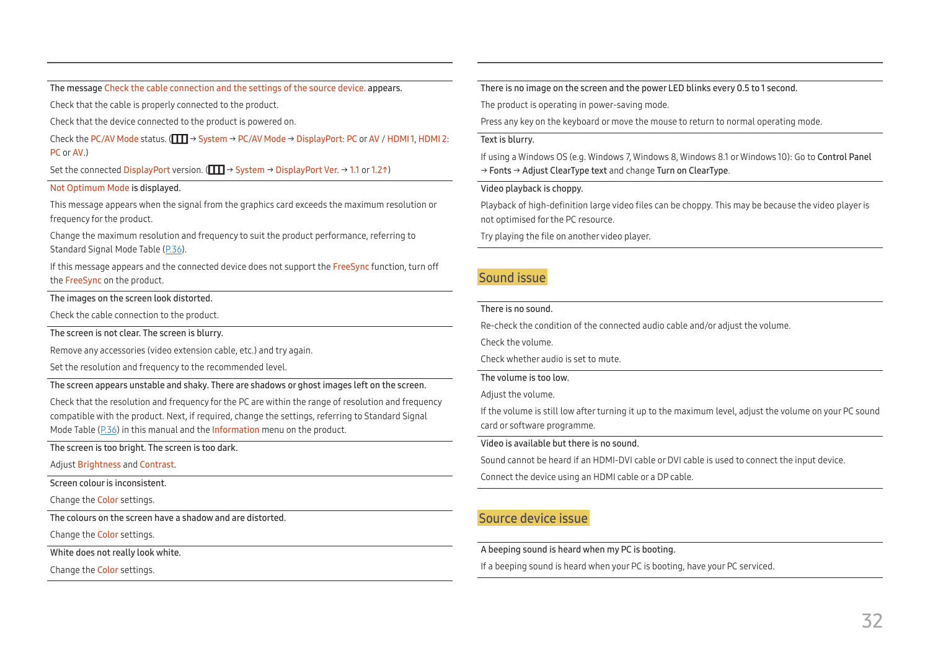The message Check the cable connection and the settings of the source device. appears.

Check that the cable is properly connected to the product.

Check that the device connected to the product is powered on.

Check the PC/AV Mode status. ( $\Box$   $\Box$   $\rightarrow$  System  $\rightarrow$  PC/AV Mode  $\rightarrow$  DisplayPort: PC or AV / HDMI 1, HDMI 2: PC or AV.)

Set the connected DisplayPort version. ( $\boxed{1}$   $\rightarrow$  System  $\rightarrow$  DisplayPort Ver.  $\rightarrow$  1.1 or 1.2↑)

#### Not Optimum Mode is displayed.

This message appears when the signal from the graphics card exceeds the maximum resolution or frequency for the product.

Change the maximum resolution and frequency to suit the product performance, referring to Standard Signal Mode Table (P.[36\)](#page-35-1).

If this message appears and the connected device does not support the FreeSync function, turn off the FreeSync on the product.

#### The images on the screen look distorted.

Check the cable connection to the product.

The screen is not clear. The screen is blurry.

Remove any accessories (video extension cable, etc.) and try again.

Set the resolution and frequency to the recommended level.

The screen appears unstable and shaky. There are shadows or ghost images left on the screen.

Check that the resolution and frequency for the PC are within the range of resolution and frequency compatible with the product. Next, if required, change the settings, referring to Standard Signal Mode Table (P.[36\)](#page-35-1) in this manual and the Information menu on the product.

The screen is too bright. The screen is too dark.

Adjust Brightness and Contrast.

Screen colour is inconsistent.

Change the Color settings.

The colours on the screen have a shadow and are distorted.

Change the Color settings.

White does not really look white.

Change the Color settings.

There is no image on the screen and the power LED blinks every 0.5 to 1 second.

The product is operating in power-saving mode.

Press any key on the keyboard or move the mouse to return to normal operating mode.

#### Text is blurry.

If using a Windows OS (e.g. Windows 7, Windows 8, Windows 8.1 or Windows 10): Go to Control Panel → Fonts → Adjust ClearType text and change Turn on ClearType.

Video playback is choppy.

Playback of high-definition large video files can be choppy. This may be because the video player is not optimised for the PC resource.

Try playing the file on another video player.

#### Sound issue

#### There is no sound.

Re-check the condition of the connected audio cable and/or adjust the volume.

Check the volume.

Check whether audio is set to mute.

The volume is too low.

Adjust the volume.

If the volume is still low after turning it up to the maximum level, adjust the volume on your PC sound card or software programme.

#### Video is available but there is no sound.

Sound cannot be heard if an HDMI-DVI cable or DVI cable is used to connect the input device.

Connect the device using an HDMI cable or a DP cable.

#### Source device issue

A beeping sound is heard when my PC is booting.

If a beeping sound is heard when your PC is booting, have your PC serviced.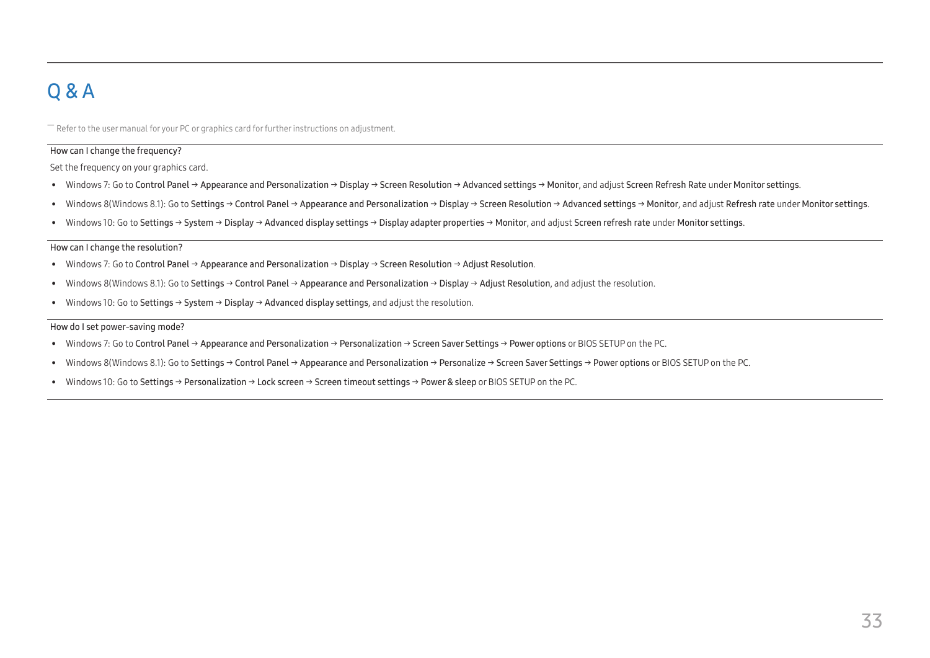# <span id="page-32-0"></span>Q & A

 $-$  Refer to the user manual for your PC or graphics card for further instructions on adjustment.

#### How can I change the frequency?

Set the frequency on your graphics card.

- Windows 7: Go to Control Panel → Appearance and Personalization → Display → Screen Resolution → Advanced settings → Monitor, and adjust Screen Refresh Rate under Monitor settings.
- Windows 8(Windows 8.1): Go to Settings → Control Panel → Appearance and Personalization → Display → Screen Resolution → Advanced settings → Monitor, and adjust Refresh rate under Monitor settings.
- Windows 10: Go to Settings → System → Display → Advanced display settings → Display adapter properties → Monitor, and adjust Screen refresh rate under Monitor settings.

#### <span id="page-32-1"></span>How can I change the resolution?

- Windows 7: Go to Control Panel → Appearance and Personalization → Display → Screen Resolution → Adjust Resolution.
- Windows 8(Windows 8.1): Go to Settings → Control Panel → Appearance and Personalization → Display → Adjust Resolution, and adjust the resolution.
- Windows 10: Go to Settings → System → Display → Advanced display settings, and adjust the resolution.

#### How do I set power-saving mode?

- Windows 7: Go to Control Panel → Appearance and Personalization → Personalization → Screen Saver Settings → Power options or BIOS SETUP on the PC.
- Windows 8(Windows 8.1): Go to Settings → Control Panel → Appearance and Personalization → Personalize → Screen Saver Settings → Power options or BIOS SETUP on the PC.
- Windows 10: Go to Settings → Personalization → Lock screen → Screen timeout settings → Power & sleep or BIOS SETUP on the PC.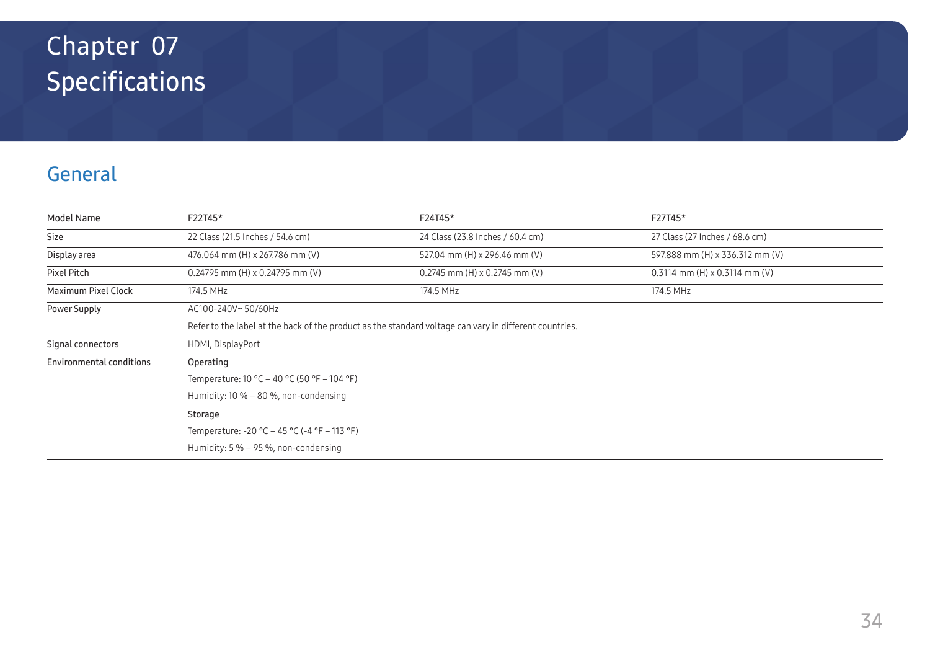# <span id="page-33-0"></span>Specifications Chapter 07

# General

| Model Name               | F22T45*                                                                                                | F24T45*                          | F27T45*                           |  |  |  |
|--------------------------|--------------------------------------------------------------------------------------------------------|----------------------------------|-----------------------------------|--|--|--|
| Size                     | 22 Class (21.5 Inches / 54.6 cm)                                                                       | 24 Class (23.8 Inches / 60.4 cm) | 27 Class (27 Inches / 68.6 cm)    |  |  |  |
| Display area             | 476.064 mm (H) x 267.786 mm (V)                                                                        | 527.04 mm (H) x 296.46 mm (V)    | 597.888 mm (H) x 336.312 mm (V)   |  |  |  |
| Pixel Pitch              | $0.24795$ mm (H) x 0.24795 mm (V)                                                                      | $0.2745$ mm (H) x 0.2745 mm (V)  | $0.3114$ mm (H) x $0.3114$ mm (V) |  |  |  |
| Maximum Pixel Clock      | 174.5 MHz                                                                                              | 174.5 MHz                        | 174.5 MHz                         |  |  |  |
| Power Supply             | AC100-240V~50/60Hz                                                                                     |                                  |                                   |  |  |  |
|                          | Refer to the label at the back of the product as the standard voltage can vary in different countries. |                                  |                                   |  |  |  |
| Signal connectors        | HDMI, DisplayPort                                                                                      |                                  |                                   |  |  |  |
| Environmental conditions | Operating                                                                                              |                                  |                                   |  |  |  |
|                          | Temperature: $10 °C - 40 °C$ (50 °F $-104 °F$ )                                                        |                                  |                                   |  |  |  |
|                          | Humidity: $10\% - 80\%$ , non-condensing                                                               |                                  |                                   |  |  |  |
|                          | Storage                                                                                                |                                  |                                   |  |  |  |
|                          | Temperature: -20 °C – 45 °C (-4 °F – 113 °F)                                                           |                                  |                                   |  |  |  |
|                          | Humidity: $5\% - 95\%$ , non-condensing                                                                |                                  |                                   |  |  |  |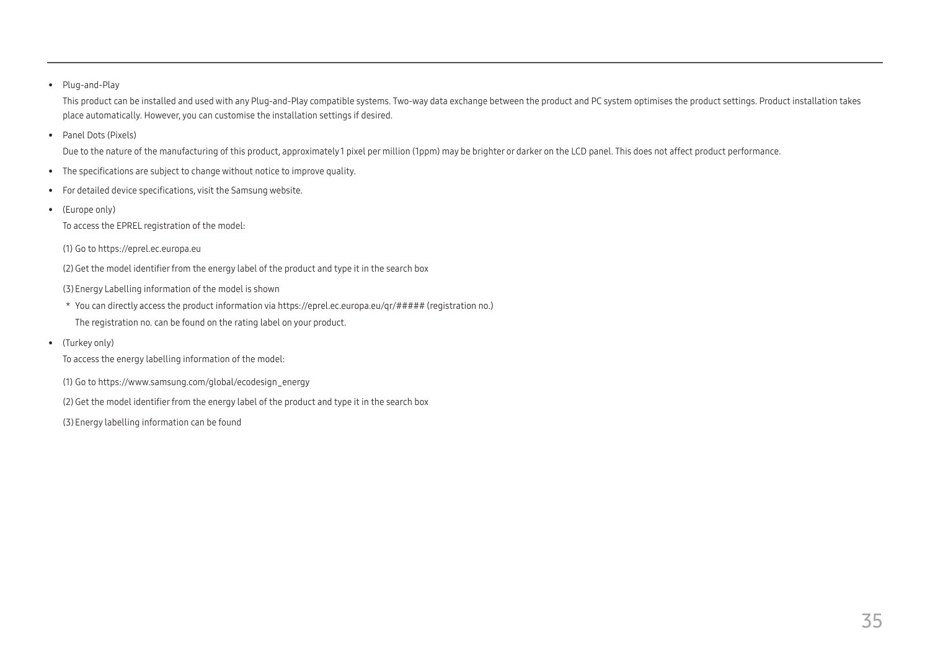#### • Plug-and-Play

This product can be installed and used with any Plug-and-Play compatible systems. Two-way data exchange between the product and PC system optimises the product settings. Product installation takes place automatically. However, you can customise the installation settings if desired.

• Panel Dots (Pixels)

Due to the nature of the manufacturing of this product, approximately1 pixel per million (1ppm) may be brighter or darker on the LCD panel. This does not affect product performance.

- The specifications are subject to change without notice to improve quality.
- For detailed device specifications, visit the Samsung website.
- (Europe only)

To access the EPREL registration of the model:

(1) Go to https://eprel.ec.europa.eu

(2) Get the model identifier from the energy label of the product and type it in the search box

(3) Energy Labelling information of the model is shown

- \* You can directly access the product information via https://eprel.ec.europa.eu/qr/##### (registration no.)
- The registration no. can be found on the rating label on your product.
- (Turkey only)

To access the energy labelling information of the model:

(1) Go to https://www.samsung.com/global/ecodesign\_energy

(2) Get the model identifier from the energy label of the product and type it in the search box

(3) Energy labelling information can be found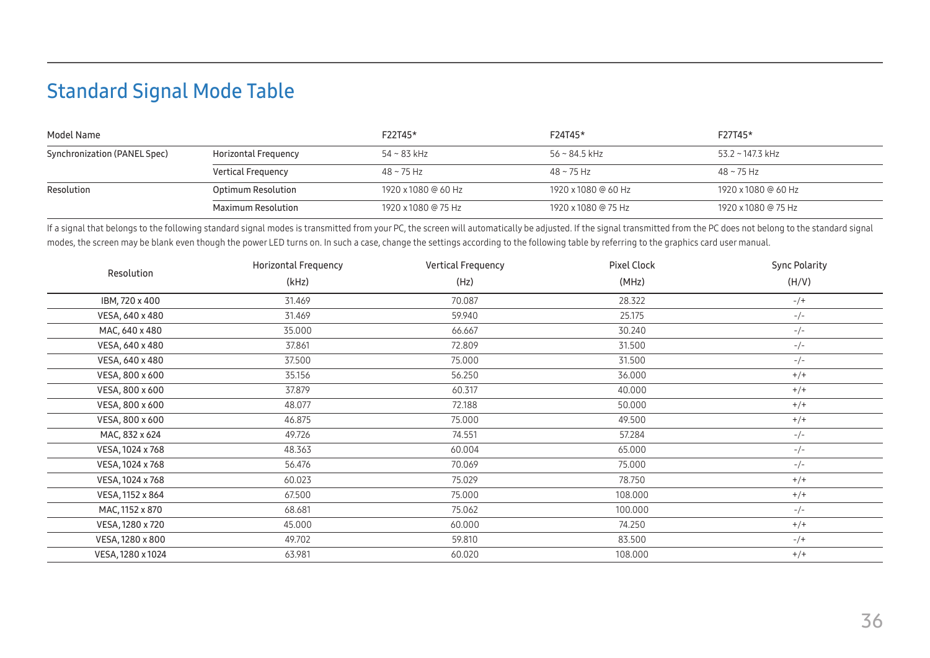# <span id="page-35-1"></span><span id="page-35-0"></span>Standard Signal Mode Table

| Model Name                   |                           | F22T45*             | F24T45*             | F27T45*             |
|------------------------------|---------------------------|---------------------|---------------------|---------------------|
| Synchronization (PANEL Spec) | Horizontal Frequency      | $54 - 83$ kHz       | 56 ~ 84.5 kHz       | 53.2 ~ 147.3 kHz    |
|                              | <b>Vertical Frequency</b> | $48 - 75$ Hz        | 48 ~ 75 Hz          | $48 - 75$ Hz        |
| Resolution                   | Optimum Resolution        | 1920 x 1080 @ 60 Hz | 1920 x 1080 @ 60 Hz | 1920 x 1080 @ 60 Hz |
|                              | Maximum Resolution        | 1920 x 1080 @ 75 Hz | 1920 x 1080 @ 75 Hz | 1920 x 1080 @ 75 Hz |

If a signal that belongs to the following standard signal modes is transmitted from your PC, the screen will automatically be adjusted. If the signal transmitted from the PC does not belong to the standard signal modes, the screen may be blank even though the power LED turns on. In such a case, change the settings according to the following table by referring to the graphics card user manual.

|                   | <b>Horizontal Frequency</b> | Vertical Frequency | <b>Pixel Clock</b> | <b>Sync Polarity</b> |
|-------------------|-----------------------------|--------------------|--------------------|----------------------|
| Resolution        | (kHz)                       | (Hz)               | (MHz)              | (H/V)                |
| IBM, 720 x 400    | 31.469                      | 70.087             | 28.322             | $-/+$                |
| VESA, 640 x 480   | 31.469                      | 59.940             | 25.175             | $-/-$                |
| MAC, 640 x 480    | 35.000                      | 66.667             | 30.240             | $-/-$                |
| VESA, 640 x 480   | 37.861                      | 72.809             | 31.500             | $-/-$                |
| VESA, 640 x 480   | 37.500                      | 75.000             | 31.500             | $-/-$                |
| VESA, 800 x 600   | 35.156                      | 56.250             | 36.000             | $+/+$                |
| VESA, 800 x 600   | 37.879                      | 60.317             | 40.000             | $+/+$                |
| VESA, 800 x 600   | 48.077                      | 72.188             | 50.000             | $+/+$                |
| VESA, 800 x 600   | 46.875                      | 75.000             | 49.500             | $+/+$                |
| MAC, 832 x 624    | 49.726                      | 74.551             | 57.284             | $-/-$                |
| VESA, 1024 x 768  | 48.363                      | 60.004             | 65.000             | $-/-$                |
| VESA, 1024 x 768  | 56.476                      | 70.069             | 75.000             | $-/-$                |
| VESA, 1024 x 768  | 60.023                      | 75.029             | 78.750             | $+/+$                |
| VESA, 1152 x 864  | 67.500                      | 75.000             | 108.000            | $+/+$                |
| MAC, 1152 x 870   | 68.681                      | 75.062             | 100.000            | $-/-$                |
| VESA, 1280 x 720  | 45.000                      | 60.000             | 74.250             | $+/+$                |
| VESA, 1280 x 800  | 49.702                      | 59.810             | 83.500             | $-/+$                |
| VESA, 1280 x 1024 | 63.981                      | 60.020             | 108.000            | $+/+$                |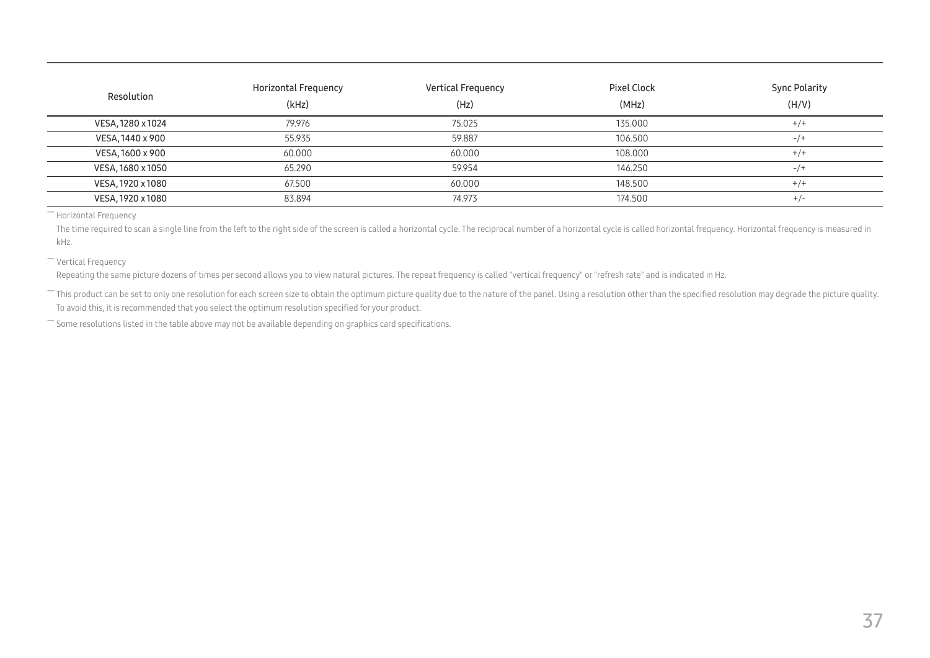| Resolution        | Horizontal Frequency<br>(kHz) | <b>Vertical Frequency</b><br>(Hz) | Pixel Clock<br>(MHz) | <b>Sync Polarity</b><br>(H/V) |
|-------------------|-------------------------------|-----------------------------------|----------------------|-------------------------------|
| VESA, 1280 x 1024 | 79.976                        | 75.025                            | 135.000              | $+/-$                         |
| VESA, 1440 x 900  | 55.935                        | 59.887                            | 106.500              | $-1$                          |
| VESA, 1600 x 900  | 60.000                        | 60.000                            | 108.000              | $+/+$                         |
| VESA, 1680 x 1050 | 65.290                        | 59.954                            | 146.250              | $-1$                          |
| VESA, 1920 x 1080 | 67.500                        | 60.000                            | 148.500              | $+/-$                         |
| VESA, 1920 x 1080 | 83.894                        | 74.973                            | 174.500              | $+/-$                         |

― Horizontal Frequency

The time required to scan a single line from the left to the right side of the screen is called a horizontal cycle. The reciprocal number of a horizontal cycle is called horizontal frequency. Horizontal frequency is measur kHz.

― Vertical Frequency

Repeating the same picture dozens of times per second allows you to view natural pictures. The repeat frequency is called "vertical frequency" or "refresh rate" and is indicated in Hz.

- This product can be set to only one resolution for each screen size to obtain the optimum picture quality due to the nature of the panel. Using a resolution other than the specified resolution may degrade the picture qua To avoid this, it is recommended that you select the optimum resolution specified for your product.

― Some resolutions listed in the table above may not be available depending on graphics card specifications.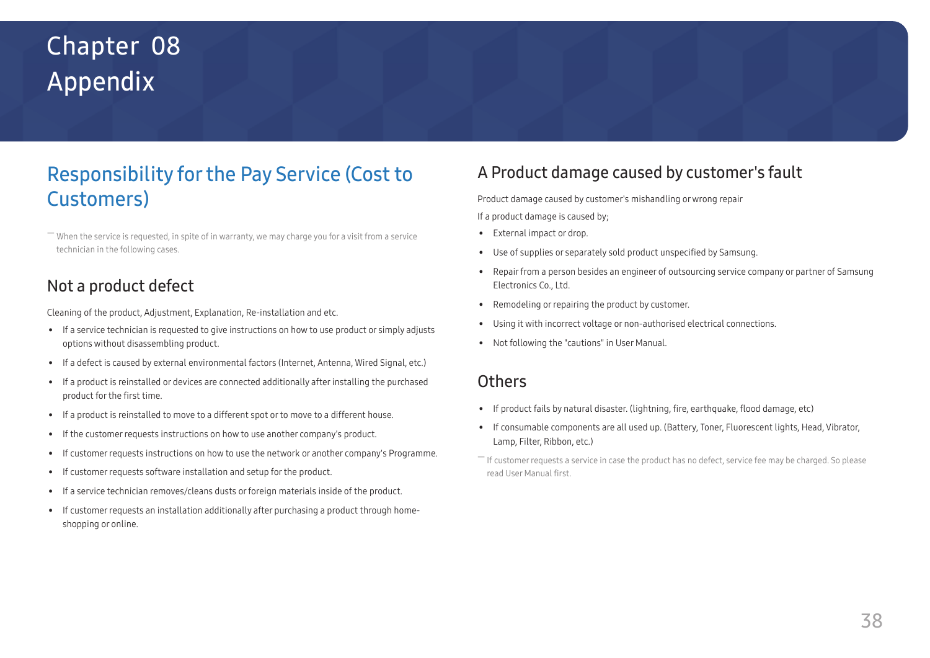# <span id="page-37-0"></span>Appendix Chapter 08

# Responsibility for the Pay Service (Cost to Customers)

 $^-$  When the service is requested, in spite of in warranty, we may charge you for a visit from a service technician in the following cases.

### Not a product defect

Cleaning of the product, Adjustment, Explanation, Re-installation and etc.

- If a service technician is requested to give instructions on how to use product or simply adjusts options without disassembling product.
- If a defect is caused by external environmental factors (Internet, Antenna, Wired Signal, etc.)
- If a product is reinstalled or devices are connected additionally after installing the purchased product for the first time.
- If a product is reinstalled to move to a different spot or to move to a different house.
- If the customer requests instructions on how to use another company's product.
- If customer requests instructions on how to use the network or another company's Programme.
- If customer requests software installation and setup for the product.
- If a service technician removes/cleans dusts or foreign materials inside of the product.
- If customer requests an installation additionally after purchasing a product through homeshopping or online.

### A Product damage caused by customer's fault

Product damage caused by customer's mishandling or wrong repair If a product damage is caused by;

- External impact or drop.
- Use of supplies or separately sold product unspecified by Samsung.
- Repair from a person besides an engineer of outsourcing service company or partner of Samsung Electronics Co., Ltd.
- Remodeling or repairing the product by customer.
- Using it with incorrect voltage or non-authorised electrical connections.
- Not following the "cautions" in User Manual.

### **Others**

- If product fails by natural disaster. (lightning, fire, earthquake, flood damage, etc)
- If consumable components are all used up. (Battery, Toner, Fluorescent lights, Head, Vibrator, Lamp, Filter, Ribbon, etc.)
- ― If customer requests a service in case the product has no defect, service fee may be charged. So please read User Manual first.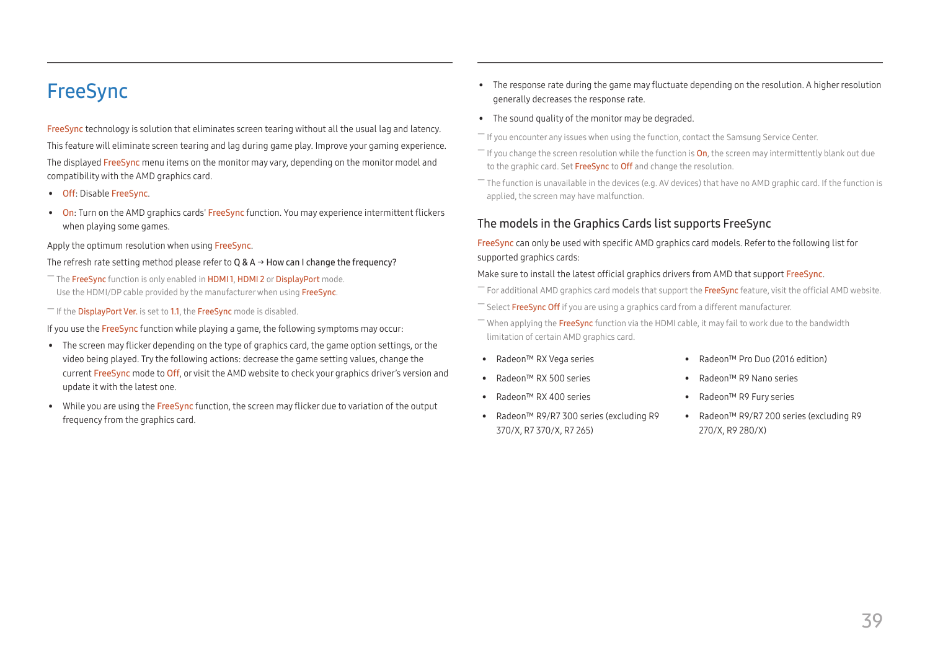## <span id="page-38-1"></span><span id="page-38-0"></span>FreeSync

FreeSync technology is solution that eliminates screen tearing without all the usual lag and latency. This feature will eliminate screen tearing and lag during game play. Improve your gaming experience. The displayed FreeSync menu items on the monitor may vary, depending on the monitor model and compatibility with the AMD graphics card.

- Off: Disable FreeSync.
- On: Turn on the AMD graphics cards' FreeSync function. You may experience intermittent flickers when playing some games.

#### Apply the optimum resolution when using FreeSync.

#### The refresh rate setting method please refer to Q & A  $\rightarrow$  How can I change the frequency?

- The FreeSync function is only enabled in HDMI1, HDMI2 or DisplayPort mode. Use the HDMI/DP cable provided by the manufacturer when using FreeSync.
- $-$  If the DisplayPort Ver. is set to 1.1, the FreeSync mode is disabled.

If you use the FreeSync function while playing a game, the following symptoms may occur:

- The screen may flicker depending on the type of graphics card, the game option settings, or the video being played. Try the following actions: decrease the game setting values, change the current FreeSync mode to Off, or visit the AMD website to check your graphics driver's version and update it with the latest one.
- While you are using the FreeSync function, the screen may flicker due to variation of the output frequency from the graphics card.
- The response rate during the game may fluctuate depending on the resolution. A higher resolution generally decreases the response rate.
- The sound quality of the monitor may be degraded.
- $-$  If you encounter any issues when using the function, contact the Samsung Service Center.
- $-$  If you change the screen resolution while the function is **On**, the screen may intermittently blank out due to the graphic card. Set FreeSync to Off and change the resolution.
- $-$  The function is unavailable in the devices (e.g. AV devices) that have no AMD graphic card. If the function is applied, the screen may have malfunction.

#### The models in the Graphics Cards list supports FreeSync

FreeSync can only be used with specific AMD graphics card models. Refer to the following list for supported graphics cards:

#### Make sure to install the latest official graphics drivers from AMD that support FreeSync.

- $^-$  For additional AMD graphics card models that support the **FreeSync** feature, visit the official AMD website.
- Select FreeSync Off if you are using a graphics card from a different manufacturer.
- $-$  When applying the FreeSync function via the HDMI cable, it may fail to work due to the bandwidth limitation of certain AMD graphics card.
- Radeon™ RX Vega series
- Radeon™ RX 500 series
- Radeon™ RX 400 series
- Radeon™ R9/R7 300 series (excluding R9 370/X, R7 370/X, R7 265)
- Radeon™ Pro Duo (2016 edition)
- Radeon™ R9 Nano series
- Radeon™ R9 Fury series
- Radeon™ R9/R7 200 series (excluding R9 270/X, R9 280/X)